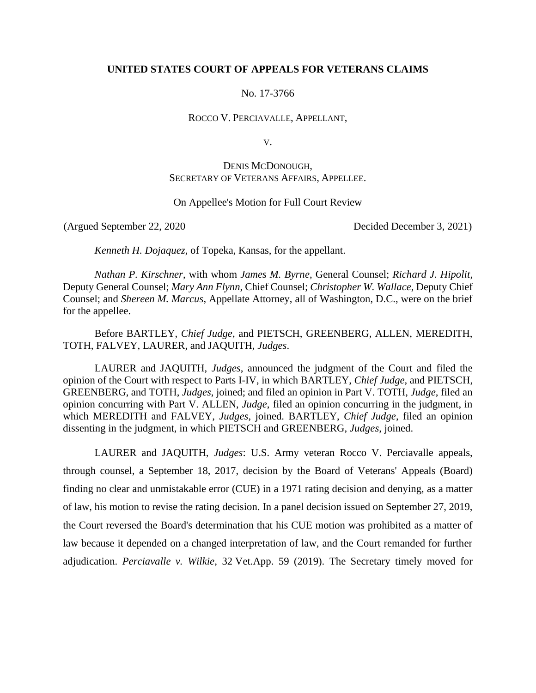# **UNITED STATES COURT OF APPEALS FOR VETERANS CLAIMS**

No. 17-3766

ROCCO V. PERCIAVALLE, APPELLANT,

V.

# DENIS MCDONOUGH, SECRETARY OF VETERANS AFFAIRS, APPELLEE.

# On Appellee's Motion for Full Court Review

(Argued September 22, 2020 Decided December 3, 2021)

*Kenneth H. Dojaquez*, of Topeka, Kansas, for the appellant.

*Nathan P. Kirschner*, with whom *James M. Byrne*, General Counsel; *Richard J. Hipolit*, Deputy General Counsel; *Mary Ann Flynn*, Chief Counsel; *Christopher W. Wallace*, Deputy Chief Counsel; and *Shereen M. Marcus*, Appellate Attorney, all of Washington, D.C., were on the brief for the appellee.

Before BARTLEY, *Chief Judge*, and PIETSCH, GREENBERG, ALLEN, MEREDITH, TOTH, FALVEY, LAURER, and JAQUITH, *Judges*.

LAURER and JAQUITH, *Judges*, announced the judgment of the Court and filed the opinion of the Court with respect to Parts I-IV, in which BARTLEY, *Chief Judge*, and PIETSCH, GREENBERG, and TOTH, *Judges*, joined; and filed an opinion in Part V. TOTH, *Judge*, filed an opinion concurring with Part V. ALLEN, *Judge*, filed an opinion concurring in the judgment, in which MEREDITH and FALVEY, *Judges*, joined. BARTLEY, *Chief Judge*, filed an opinion dissenting in the judgment, in which PIETSCH and GREENBERG, *Judges*, joined.

LAURER and JAQUITH, *Judges*: U.S. Army veteran Rocco V. Perciavalle appeals, through counsel, a September 18, 2017, decision by the Board of Veterans' Appeals (Board) finding no clear and unmistakable error (CUE) in a 1971 rating decision and denying, as a matter of law, his motion to revise the rating decision. In a panel decision issued on September 27, 2019, the Court reversed the Board's determination that his CUE motion was prohibited as a matter of law because it depended on a changed interpretation of law, and the Court remanded for further adjudication. *Perciavalle v. Wilkie*, 32 Vet.App. 59 (2019). The Secretary timely moved for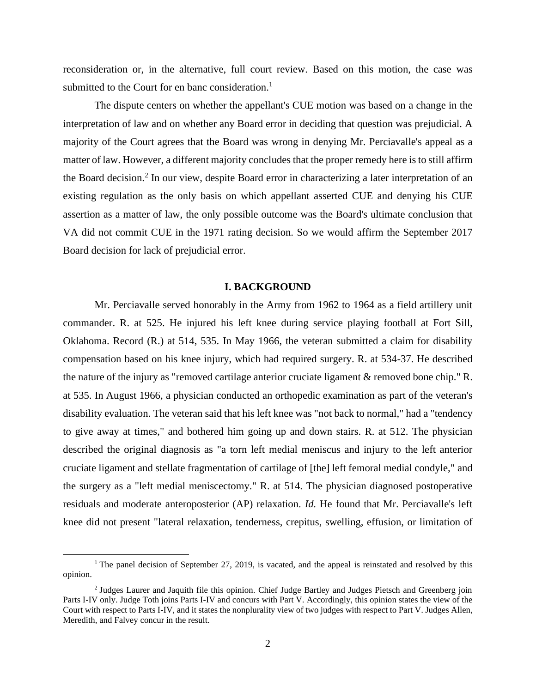reconsideration or, in the alternative, full court review. Based on this motion, the case was submitted to the Court for en banc consideration.<sup>1</sup>

The dispute centers on whether the appellant's CUE motion was based on a change in the interpretation of law and on whether any Board error in deciding that question was prejudicial. A majority of the Court agrees that the Board was wrong in denying Mr. Perciavalle's appeal as a matter of law. However, a different majority concludes that the proper remedy here is to still affirm the Board decision.<sup>2</sup> In our view, despite Board error in characterizing a later interpretation of an existing regulation as the only basis on which appellant asserted CUE and denying his CUE assertion as a matter of law, the only possible outcome was the Board's ultimate conclusion that VA did not commit CUE in the 1971 rating decision. So we would affirm the September 2017 Board decision for lack of prejudicial error.

#### **I. BACKGROUND**

Mr. Perciavalle served honorably in the Army from 1962 to 1964 as a field artillery unit commander. R. at 525. He injured his left knee during service playing football at Fort Sill, Oklahoma. Record (R.) at 514, 535. In May 1966, the veteran submitted a claim for disability compensation based on his knee injury, which had required surgery. R. at 534-37. He described the nature of the injury as "removed cartilage anterior cruciate ligament & removed bone chip." R. at 535. In August 1966, a physician conducted an orthopedic examination as part of the veteran's disability evaluation. The veteran said that his left knee was "not back to normal," had a "tendency to give away at times," and bothered him going up and down stairs. R. at 512. The physician described the original diagnosis as "a torn left medial meniscus and injury to the left anterior cruciate ligament and stellate fragmentation of cartilage of [the] left femoral medial condyle," and the surgery as a "left medial meniscectomy." R. at 514. The physician diagnosed postoperative residuals and moderate anteroposterior (AP) relaxation. *Id.* He found that Mr. Perciavalle's left knee did not present "lateral relaxation, tenderness, crepitus, swelling, effusion, or limitation of

<sup>&</sup>lt;sup>1</sup> The panel decision of September 27, 2019, is vacated, and the appeal is reinstated and resolved by this opinion.

<sup>&</sup>lt;sup>2</sup> Judges Laurer and Jaquith file this opinion. Chief Judge Bartley and Judges Pietsch and Greenberg join Parts I-IV only. Judge Toth joins Parts I-IV and concurs with Part V. Accordingly, this opinion states the view of the Court with respect to Parts I-IV, and it states the nonplurality view of two judges with respect to Part V. Judges Allen, Meredith, and Falvey concur in the result.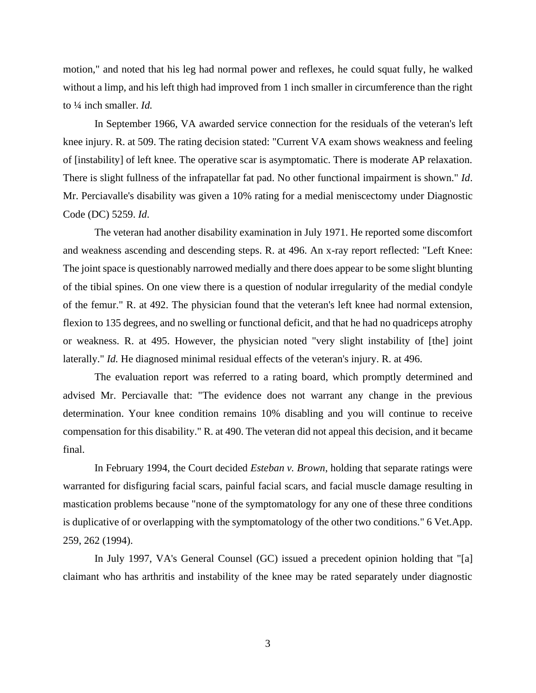motion," and noted that his leg had normal power and reflexes, he could squat fully, he walked without a limp, and his left thigh had improved from 1 inch smaller in circumference than the right to ¼ inch smaller. *Id.*

In September 1966, VA awarded service connection for the residuals of the veteran's left knee injury. R. at 509. The rating decision stated: "Current VA exam shows weakness and feeling of [instability] of left knee. The operative scar is asymptomatic. There is moderate AP relaxation. There is slight fullness of the infrapatellar fat pad. No other functional impairment is shown." *Id*. Mr. Perciavalle's disability was given a 10% rating for a medial meniscectomy under Diagnostic Code (DC) 5259. *Id*.

The veteran had another disability examination in July 1971. He reported some discomfort and weakness ascending and descending steps. R. at 496. An x-ray report reflected: "Left Knee: The joint space is questionably narrowed medially and there does appear to be some slight blunting of the tibial spines. On one view there is a question of nodular irregularity of the medial condyle of the femur." R. at 492. The physician found that the veteran's left knee had normal extension, flexion to 135 degrees, and no swelling or functional deficit, and that he had no quadriceps atrophy or weakness. R. at 495. However, the physician noted "very slight instability of [the] joint laterally." *Id.* He diagnosed minimal residual effects of the veteran's injury. R. at 496.

The evaluation report was referred to a rating board, which promptly determined and advised Mr. Perciavalle that: "The evidence does not warrant any change in the previous determination. Your knee condition remains 10% disabling and you will continue to receive compensation for this disability." R. at 490. The veteran did not appeal this decision, and it became final.

In February 1994, the Court decided *Esteban v. Brown*, holding that separate ratings were warranted for disfiguring facial scars, painful facial scars, and facial muscle damage resulting in mastication problems because "none of the symptomatology for any one of these three conditions is duplicative of or overlapping with the symptomatology of the other two conditions." 6 Vet.App. 259, 262 (1994).

In July 1997, VA's General Counsel (GC) issued a precedent opinion holding that "[a] claimant who has arthritis and instability of the knee may be rated separately under diagnostic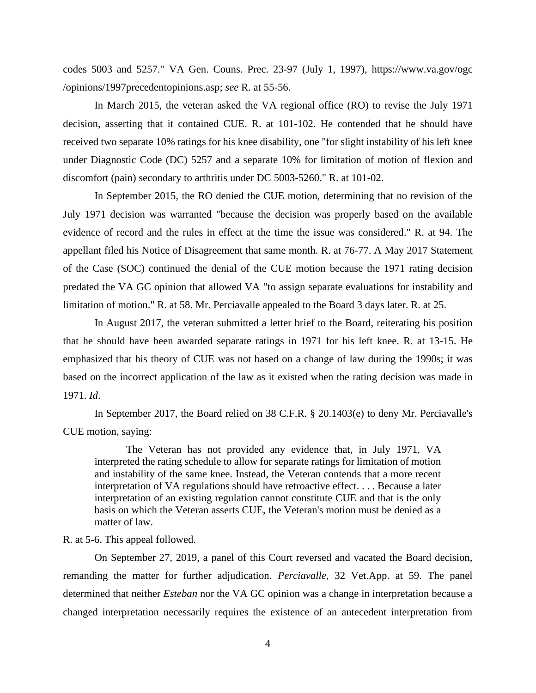codes 5003 and 5257." VA Gen. Couns. Prec. 23-97 (July 1, 1997), https://www.va.gov/ogc /opinions/1997precedentopinions.asp; *see* R. at 55-56.

In March 2015, the veteran asked the VA regional office (RO) to revise the July 1971 decision, asserting that it contained CUE. R. at 101-102. He contended that he should have received two separate 10% ratings for his knee disability, one "for slight instability of his left knee under Diagnostic Code (DC) 5257 and a separate 10% for limitation of motion of flexion and discomfort (pain) secondary to arthritis under DC 5003-5260." R. at 101-02.

In September 2015, the RO denied the CUE motion, determining that no revision of the July 1971 decision was warranted "because the decision was properly based on the available evidence of record and the rules in effect at the time the issue was considered." R. at 94. The appellant filed his Notice of Disagreement that same month. R. at 76-77. A May 2017 Statement of the Case (SOC) continued the denial of the CUE motion because the 1971 rating decision predated the VA GC opinion that allowed VA "to assign separate evaluations for instability and limitation of motion." R. at 58. Mr. Perciavalle appealed to the Board 3 days later. R. at 25.

In August 2017, the veteran submitted a letter brief to the Board, reiterating his position that he should have been awarded separate ratings in 1971 for his left knee. R. at 13-15. He emphasized that his theory of CUE was not based on a change of law during the 1990s; it was based on the incorrect application of the law as it existed when the rating decision was made in 1971. *Id*.

In September 2017, the Board relied on 38 C.F.R. § 20.1403(e) to deny Mr. Perciavalle's CUE motion, saying:

The Veteran has not provided any evidence that, in July 1971, VA interpreted the rating schedule to allow for separate ratings for limitation of motion and instability of the same knee. Instead, the Veteran contends that a more recent interpretation of VA regulations should have retroactive effect. . . . Because a later interpretation of an existing regulation cannot constitute CUE and that is the only basis on which the Veteran asserts CUE, the Veteran's motion must be denied as a matter of law.

R. at 5-6. This appeal followed.

On September 27, 2019, a panel of this Court reversed and vacated the Board decision, remanding the matter for further adjudication. *Perciavalle*, 32 Vet.App. at 59. The panel determined that neither *Esteban* nor the VA GC opinion was a change in interpretation because a changed interpretation necessarily requires the existence of an antecedent interpretation from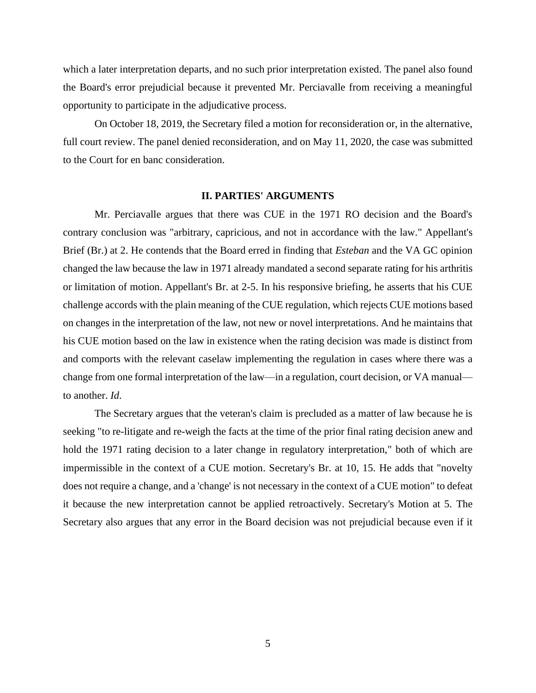which a later interpretation departs, and no such prior interpretation existed. The panel also found the Board's error prejudicial because it prevented Mr. Perciavalle from receiving a meaningful opportunity to participate in the adjudicative process.

On October 18, 2019, the Secretary filed a motion for reconsideration or, in the alternative, full court review. The panel denied reconsideration, and on May 11, 2020, the case was submitted to the Court for en banc consideration.

#### **II. PARTIES' ARGUMENTS**

Mr. Perciavalle argues that there was CUE in the 1971 RO decision and the Board's contrary conclusion was "arbitrary, capricious, and not in accordance with the law." Appellant's Brief (Br.) at 2. He contends that the Board erred in finding that *Esteban* and the VA GC opinion changed the law because the law in 1971 already mandated a second separate rating for his arthritis or limitation of motion. Appellant's Br. at 2-5. In his responsive briefing, he asserts that his CUE challenge accords with the plain meaning of the CUE regulation, which rejects CUE motions based on changes in the interpretation of the law, not new or novel interpretations. And he maintains that his CUE motion based on the law in existence when the rating decision was made is distinct from and comports with the relevant caselaw implementing the regulation in cases where there was a change from one formal interpretation of the law—in a regulation, court decision, or VA manual to another. *Id*.

The Secretary argues that the veteran's claim is precluded as a matter of law because he is seeking "to re-litigate and re-weigh the facts at the time of the prior final rating decision anew and hold the 1971 rating decision to a later change in regulatory interpretation," both of which are impermissible in the context of a CUE motion. Secretary's Br. at 10, 15. He adds that "novelty does not require a change, and a 'change' is not necessary in the context of a CUE motion" to defeat it because the new interpretation cannot be applied retroactively. Secretary's Motion at 5. The Secretary also argues that any error in the Board decision was not prejudicial because even if it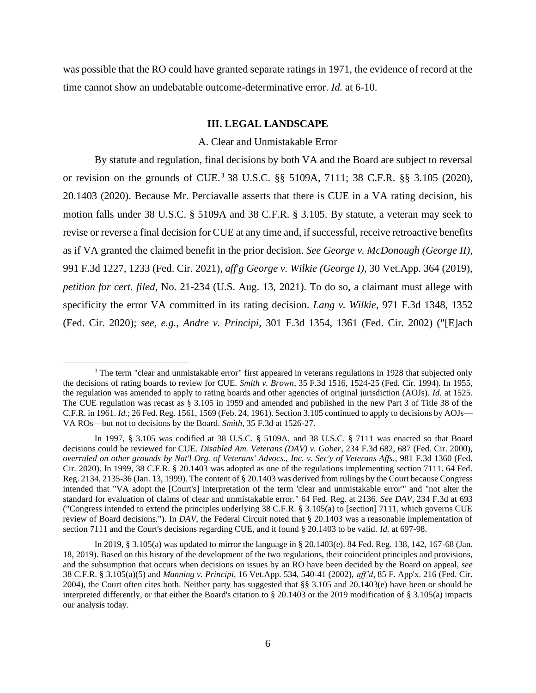was possible that the RO could have granted separate ratings in 1971, the evidence of record at the time cannot show an undebatable outcome-determinative error. *Id.* at 6-10.

### **III. LEGAL LANDSCAPE**

#### A. Clear and Unmistakable Error

By statute and regulation, final decisions by both VA and the Board are subject to reversal or revision on the grounds of CUE.<sup>3</sup> 38 U.S.C. §§ 5109A, 7111; 38 C.F.R. §§ 3.105 (2020), 20.1403 (2020). Because Mr. Perciavalle asserts that there is CUE in a VA rating decision, his motion falls under 38 U.S.C. § 5109A and 38 C.F.R. § 3.105. By statute, a veteran may seek to revise or reverse a final decision for CUE at any time and, if successful, receive retroactive benefits as if VA granted the claimed benefit in the prior decision. *See George v. McDonough (George II)*, 991 F.3d 1227, 1233 (Fed. Cir. 2021), *aff'g George v. Wilkie (George I)*, 30 Vet.App. 364 (2019), *petition for cert. filed*, No. 21-234 (U.S. Aug. 13, 2021). To do so, a claimant must allege with specificity the error VA committed in its rating decision. *Lang v. Wilkie*, 971 F.3d 1348, 1352 (Fed. Cir. 2020); *see, e.g.*, *Andre v. Principi*, 301 F.3d 1354, 1361 (Fed. Cir. 2002) ("[E]ach

<sup>&</sup>lt;sup>3</sup> The term "clear and unmistakable error" first appeared in veterans regulations in 1928 that subjected only the decisions of rating boards to review for CUE. *Smith v. Brown*, 35 F.3d 1516, 1524-25 (Fed. Cir. 1994). In 1955, the regulation was amended to apply to rating boards and other agencies of original jurisdiction (AOJs). *Id.* at 1525. The CUE regulation was recast as § 3.105 in 1959 and amended and published in the new Part 3 of Title 38 of the C.F.R. in 1961. *Id.*; 26 Fed. Reg. 1561, 1569 (Feb. 24, 1961). Section 3.105 continued to apply to decisions by AOJs— VA ROs—but not to decisions by the Board. *Smith*, 35 F.3d at 1526-27.

In 1997, § 3.105 was codified at 38 U.S.C. § 5109A, and 38 U.S.C. § 7111 was enacted so that Board decisions could be reviewed for CUE. *Disabled Am. Veterans (DAV) v. Gober*, 234 F.3d 682, 687 (Fed. Cir. 2000), *overruled on other grounds by Nat'l Org. of Veterans' Advocs., Inc. v. Sec'y of Veterans Affs.*, 981 F.3d 1360 (Fed. Cir. 2020). In 1999, 38 C.F.R. § 20.1403 was adopted as one of the regulations implementing section 7111. 64 Fed. Reg. 2134, 2135-36 (Jan. 13, 1999). The content of § 20.1403 was derived from rulings by the Court because Congress intended that "VA adopt the [Court's] interpretation of the term 'clear and unmistakable error'" and "not alter the standard for evaluation of claims of clear and unmistakable error." 64 Fed. Reg. at 2136. *See DAV*, 234 F.3d at 693 ("Congress intended to extend the principles underlying 38 C.F.R. § 3.105(a) to [section] 7111, which governs CUE review of Board decisions."). In *DAV*, the Federal Circuit noted that § 20.1403 was a reasonable implementation of section 7111 and the Court's decisions regarding CUE, and it found § 20.1403 to be valid. *Id.* at 697-98.

In 2019, § 3.105(a) was updated to mirror the language in § 20.1403(e). 84 Fed. Reg. 138, 142, 167-68 (Jan. 18, 2019). Based on this history of the development of the two regulations, their coincident principles and provisions, and the subsumption that occurs when decisions on issues by an RO have been decided by the Board on appeal, *see* 38 C.F.R. § 3.105(a)(5) and *Manning v. Principi*, 16 Vet.App. 534, 540-41 (2002), *aff'd*, 85 F. App'x. 216 (Fed. Cir. 2004), the Court often cites both. Neither party has suggested that §§ 3.105 and 20.1403(e) have been or should be interpreted differently, or that either the Board's citation to § 20.1403 or the 2019 modification of § 3.105(a) impacts our analysis today.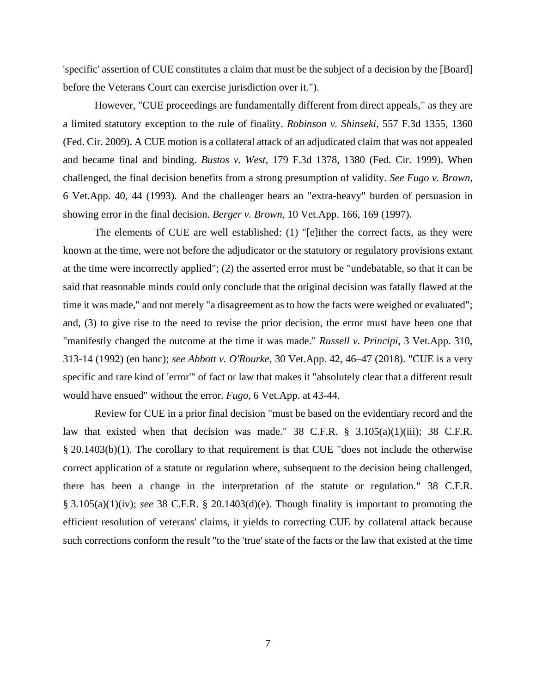'specific' assertion of CUE constitutes a claim that must be the subject of a decision by the [Board] before the Veterans Court can exercise jurisdiction over it.").

However, "CUE proceedings are fundamentally different from direct appeals," as they are a limited statutory exception to the rule of finality. *Robinson v. Shinseki*, 557 F.3d 1355, 1360 (Fed. Cir. 2009). A CUE motion is a collateral attack of an adjudicated claim that was not appealed and became final and binding. *Bustos v. West*, 179 F.3d 1378, 1380 (Fed. Cir. 1999). When challenged, the final decision benefits from a strong presumption of validity. *See Fugo v. Brown*, 6 Vet.App. 40, 44 (1993). And the challenger bears an "extra-heavy" burden of persuasion in showing error in the final decision. *Berger v. Brown*, 10 Vet.App. 166, 169 (1997).

The elements of CUE are well established: (1) "[e]ither the correct facts, as they were known at the time, were not before the adjudicator or the statutory or regulatory provisions extant at the time were incorrectly applied"; (2) the asserted error must be "undebatable, so that it can be said that reasonable minds could only conclude that the original decision was fatally flawed at the time it was made," and not merely "a disagreement as to how the facts were weighed or evaluated"; and, (3) to give rise to the need to revise the prior decision, the error must have been one that "manifestly changed the outcome at the time it was made." *Russell v. Principi*, 3 Vet.App. 310, 313-14 (1992) (en banc); *see Abbott v. O'Rourke*, 30 Vet.App. 42, 46–47 (2018). "CUE is a very specific and rare kind of 'error'" of fact or law that makes it "absolutely clear that a different result would have ensued" without the error. *Fugo*, 6 Vet.App. at 43-44.

Review for CUE in a prior final decision "must be based on the evidentiary record and the law that existed when that decision was made." 38 C.F.R.  $\S$  3.105(a)(1)(iii); 38 C.F.R. § 20.1403(b)(1). The corollary to that requirement is that CUE "does not include the otherwise correct application of a statute or regulation where, subsequent to the decision being challenged, there has been a change in the interpretation of the statute or regulation." 38 C.F.R. § 3.105(a)(1)(iv); *see* 38 C.F.R. § 20.1403(d)(e). Though finality is important to promoting the efficient resolution of veterans' claims, it yields to correcting CUE by collateral attack because such corrections conform the result "to the 'true' state of the facts or the law that existed at the time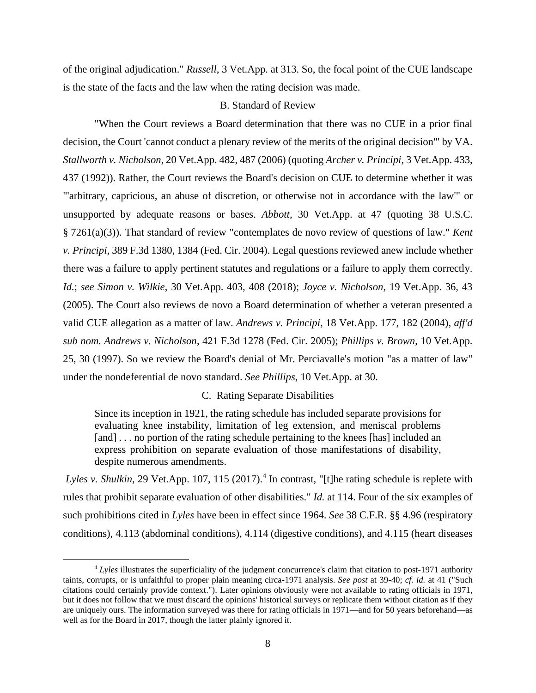of the original adjudication." *Russell*, 3 Vet.App. at 313. So, the focal point of the CUE landscape is the state of the facts and the law when the rating decision was made.

## B. Standard of Review

"When the Court reviews a Board determination that there was no CUE in a prior final decision, the Court 'cannot conduct a plenary review of the merits of the original decision'" by VA. *Stallworth v. Nicholson*, 20 Vet.App. 482, 487 (2006) (quoting *Archer v. Principi*, 3 Vet.App. 433, 437 (1992)). Rather, the Court reviews the Board's decision on CUE to determine whether it was "'arbitrary, capricious, an abuse of discretion, or otherwise not in accordance with the law'" or unsupported by adequate reasons or bases. *Abbott*, 30 Vet.App. at 47 (quoting 38 U.S.C. § 7261(a)(3)). That standard of review "contemplates de novo review of questions of law." *Kent v. Principi*, 389 F.3d 1380, 1384 (Fed. Cir. 2004). Legal questions reviewed anew include whether there was a failure to apply pertinent statutes and regulations or a failure to apply them correctly. *Id.*; *see Simon v. Wilkie*, 30 Vet.App. 403, 408 (2018); *Joyce v. Nicholson*, 19 Vet.App. 36, 43 (2005). The Court also reviews de novo a Board determination of whether a veteran presented a valid CUE allegation as a matter of law. *Andrews v. Principi*, 18 Vet.App. 177, 182 (2004), *aff'd sub nom. Andrews v. Nicholson*, 421 F.3d 1278 (Fed. Cir. 2005); *Phillips v. Brown*, 10 Vet.App. 25, 30 (1997). So we review the Board's denial of Mr. Perciavalle's motion "as a matter of law" under the nondeferential de novo standard. *See Phillips*, 10 Vet.App. at 30.

### C. Rating Separate Disabilities

Since its inception in 1921, the rating schedule has included separate provisions for evaluating knee instability, limitation of leg extension, and meniscal problems [and] . . . no portion of the rating schedule pertaining to the knees [has] included an express prohibition on separate evaluation of those manifestations of disability, despite numerous amendments.

Lyles v. Shulkin, 29 Vet.App. 107, 115 (2017).<sup>4</sup> In contrast, "[t]he rating schedule is replete with rules that prohibit separate evaluation of other disabilities." *Id.* at 114. Four of the six examples of such prohibitions cited in *Lyles* have been in effect since 1964. *See* 38 C.F.R. §§ 4.96 (respiratory conditions), 4.113 (abdominal conditions), 4.114 (digestive conditions), and 4.115 (heart diseases

<sup>4</sup> *Lyles* illustrates the superficiality of the judgment concurrence's claim that citation to post-1971 authority taints, corrupts, or is unfaithful to proper plain meaning circa-1971 analysis. *See post* at 39-40; *cf. id.* at 41 ("Such citations could certainly provide context."). Later opinions obviously were not available to rating officials in 1971, but it does not follow that we must discard the opinions' historical surveys or replicate them without citation as if they are uniquely ours. The information surveyed was there for rating officials in 1971—and for 50 years beforehand—as well as for the Board in 2017, though the latter plainly ignored it.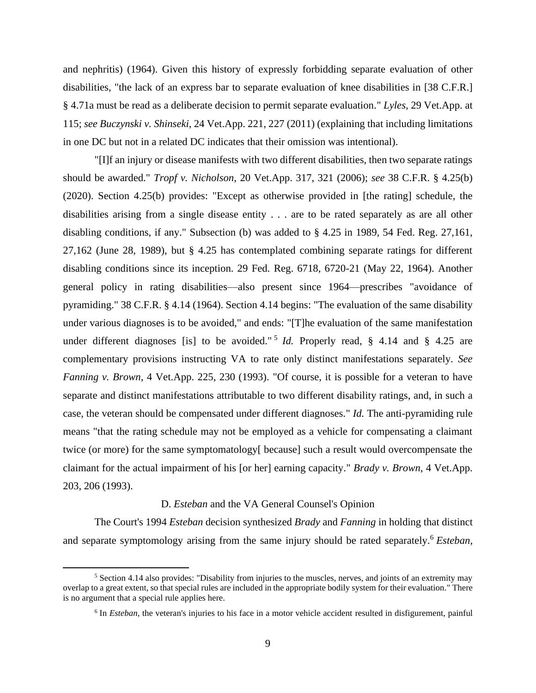and nephritis) (1964). Given this history of expressly forbidding separate evaluation of other disabilities, "the lack of an express bar to separate evaluation of knee disabilities in [38 C.F.R.] § 4.71a must be read as a deliberate decision to permit separate evaluation." *Lyles*, 29 Vet.App. at 115; *see Buczynski v. Shinseki*, 24 Vet.App. 221, 227 (2011) (explaining that including limitations in one DC but not in a related DC indicates that their omission was intentional).

"[I]f an injury or disease manifests with two different disabilities, then two separate ratings should be awarded." *Tropf v. Nicholson*, 20 Vet.App. 317, 321 (2006); *see* 38 C.F.R. § 4.25(b) (2020). Section 4.25(b) provides: "Except as otherwise provided in [the rating] schedule, the disabilities arising from a single disease entity . . . are to be rated separately as are all other disabling conditions, if any." Subsection (b) was added to § 4.25 in 1989, 54 Fed. Reg. 27,161, 27,162 (June 28, 1989), but § 4.25 has contemplated combining separate ratings for different disabling conditions since its inception. 29 Fed. Reg. 6718, 6720-21 (May 22, 1964). Another general policy in rating disabilities—also present since 1964—prescribes "avoidance of pyramiding." 38 C.F.R. § 4.14 (1964). Section 4.14 begins: "The evaluation of the same disability under various diagnoses is to be avoided," and ends: "[T]he evaluation of the same manifestation under different diagnoses [is] to be avoided." 5 *Id.* Properly read, § 4.14 and § 4.25 are complementary provisions instructing VA to rate only distinct manifestations separately. *See Fanning v. Brown*, 4 Vet.App. 225, 230 (1993). "Of course, it is possible for a veteran to have separate and distinct manifestations attributable to two different disability ratings, and, in such a case, the veteran should be compensated under different diagnoses." *Id.* The anti-pyramiding rule means "that the rating schedule may not be employed as a vehicle for compensating a claimant twice (or more) for the same symptomatology[ because] such a result would overcompensate the claimant for the actual impairment of his [or her] earning capacity." *Brady v. Brown*, 4 Vet.App. 203, 206 (1993).

### D. *Esteban* and the VA General Counsel's Opinion

The Court's 1994 *Esteban* decision synthesized *Brady* and *Fanning* in holding that distinct and separate symptomology arising from the same injury should be rated separately.<sup>6</sup> *Esteban*,

<sup>&</sup>lt;sup>5</sup> Section 4.14 also provides: "Disability from injuries to the muscles, nerves, and joints of an extremity may overlap to a great extent, so that special rules are included in the appropriate bodily system for their evaluation." There is no argument that a special rule applies here.

<sup>&</sup>lt;sup>6</sup> In *Esteban*, the veteran's injuries to his face in a motor vehicle accident resulted in disfigurement, painful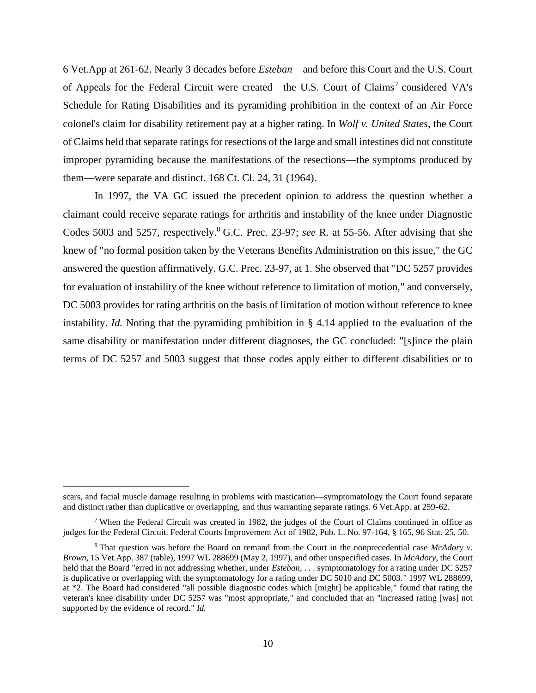6 Vet.App at 261-62. Nearly 3 decades before *Esteban*—and before this Court and the U.S. Court of Appeals for the Federal Circuit were created—the U.S. Court of Claims<sup>7</sup> considered VA's Schedule for Rating Disabilities and its pyramiding prohibition in the context of an Air Force colonel's claim for disability retirement pay at a higher rating. In *Wolf v. United States*, the Court of Claims held that separate ratings for resections of the large and small intestines did not constitute improper pyramiding because the manifestations of the resections—the symptoms produced by them—were separate and distinct. 168 Ct. Cl. 24, 31 (1964).

In 1997, the VA GC issued the precedent opinion to address the question whether a claimant could receive separate ratings for arthritis and instability of the knee under Diagnostic Codes 5003 and 5257, respectively. <sup>8</sup> G.C. Prec. 23-97; *see* R. at 55-56. After advising that she knew of "no formal position taken by the Veterans Benefits Administration on this issue," the GC answered the question affirmatively. G.C. Prec. 23-97, at 1. She observed that "DC 5257 provides for evaluation of instability of the knee without reference to limitation of motion," and conversely, DC 5003 provides for rating arthritis on the basis of limitation of motion without reference to knee instability. *Id.* Noting that the pyramiding prohibition in § 4.14 applied to the evaluation of the same disability or manifestation under different diagnoses, the GC concluded: "[s]ince the plain terms of DC 5257 and 5003 suggest that those codes apply either to different disabilities or to

scars, and facial muscle damage resulting in problems with mastication—symptomatology the Court found separate and distinct rather than duplicative or overlapping, and thus warranting separate ratings. 6 Vet.App. at 259-62.

<sup>&</sup>lt;sup>7</sup> When the Federal Circuit was created in 1982, the judges of the Court of Claims continued in office as judges for the Federal Circuit. Federal Courts Improvement Act of 1982, Pub. L. No. 97-164, § 165, 96 Stat. 25, 50.

<sup>8</sup> That question was before the Board on remand from the Court in the nonprecedential case *McAdory v. Brown*, 15 Vet.App. 387 (table), 1997 WL 288699 (May 2, 1997), and other unspecified cases. In *McAdory*, the Court held that the Board "erred in not addressing whether, under *Esteban*, . . . symptomatology for a rating under DC 5257 is duplicative or overlapping with the symptomatology for a rating under DC 5010 and DC 5003." 1997 WL 288699, at \*2. The Board had considered "all possible diagnostic codes which [might] be applicable," found that rating the veteran's knee disability under DC 5257 was "most appropriate," and concluded that an "increased rating [was] not supported by the evidence of record." *Id.*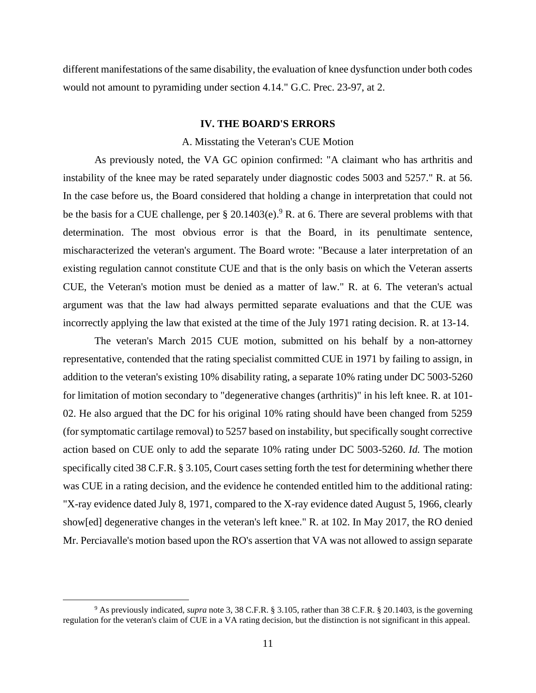different manifestations of the same disability, the evaluation of knee dysfunction under both codes would not amount to pyramiding under section 4.14." G.C. Prec. 23-97, at 2.

#### **IV. THE BOARD'S ERRORS**

#### A. Misstating the Veteran's CUE Motion

As previously noted, the VA GC opinion confirmed: "A claimant who has arthritis and instability of the knee may be rated separately under diagnostic codes 5003 and 5257." R. at 56. In the case before us, the Board considered that holding a change in interpretation that could not be the basis for a CUE challenge, per  $\S 20.1403(e)^9$  R. at 6. There are several problems with that determination. The most obvious error is that the Board, in its penultimate sentence, mischaracterized the veteran's argument. The Board wrote: "Because a later interpretation of an existing regulation cannot constitute CUE and that is the only basis on which the Veteran asserts CUE, the Veteran's motion must be denied as a matter of law." R. at 6. The veteran's actual argument was that the law had always permitted separate evaluations and that the CUE was incorrectly applying the law that existed at the time of the July 1971 rating decision. R. at 13-14.

The veteran's March 2015 CUE motion, submitted on his behalf by a non-attorney representative, contended that the rating specialist committed CUE in 1971 by failing to assign, in addition to the veteran's existing 10% disability rating, a separate 10% rating under DC 5003-5260 for limitation of motion secondary to "degenerative changes (arthritis)" in his left knee. R. at 101- 02. He also argued that the DC for his original 10% rating should have been changed from 5259 (for symptomatic cartilage removal) to 5257 based on instability, but specifically sought corrective action based on CUE only to add the separate 10% rating under DC 5003-5260. *Id.* The motion specifically cited 38 C.F.R. § 3.105, Court cases setting forth the test for determining whether there was CUE in a rating decision, and the evidence he contended entitled him to the additional rating: "X-ray evidence dated July 8, 1971, compared to the X-ray evidence dated August 5, 1966, clearly show[ed] degenerative changes in the veteran's left knee." R. at 102. In May 2017, the RO denied Mr. Perciavalle's motion based upon the RO's assertion that VA was not allowed to assign separate

<sup>9</sup> As previously indicated, *supra* note 3, 38 C.F.R. § 3.105, rather than 38 C.F.R. § 20.1403, is the governing regulation for the veteran's claim of CUE in a VA rating decision, but the distinction is not significant in this appeal.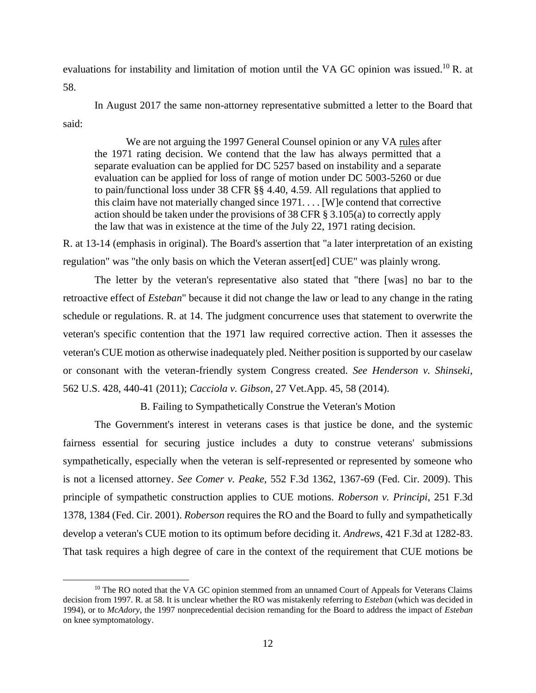evaluations for instability and limitation of motion until the VA GC opinion was issued.<sup>10</sup> R. at 58.

In August 2017 the same non-attorney representative submitted a letter to the Board that said:

We are not arguing the 1997 General Counsel opinion or any VA rules after the 1971 rating decision. We contend that the law has always permitted that a separate evaluation can be applied for DC 5257 based on instability and a separate evaluation can be applied for loss of range of motion under DC 5003-5260 or due to pain/functional loss under 38 CFR §§ 4.40, 4.59. All regulations that applied to this claim have not materially changed since 1971. . . . [W]e contend that corrective action should be taken under the provisions of 38 CFR § 3.105(a) to correctly apply the law that was in existence at the time of the July 22, 1971 rating decision.

R. at 13-14 (emphasis in original). The Board's assertion that "a later interpretation of an existing regulation" was "the only basis on which the Veteran assert[ed] CUE" was plainly wrong.

The letter by the veteran's representative also stated that "there [was] no bar to the retroactive effect of *Esteban*" because it did not change the law or lead to any change in the rating schedule or regulations. R. at 14. The judgment concurrence uses that statement to overwrite the veteran's specific contention that the 1971 law required corrective action. Then it assesses the veteran's CUE motion as otherwise inadequately pled. Neither position is supported by our caselaw or consonant with the veteran-friendly system Congress created. *See Henderson v. Shinseki*, 562 U.S. 428, 440-41 (2011); *Cacciola v. Gibson*, 27 Vet.App. 45, 58 (2014).

B. Failing to Sympathetically Construe the Veteran's Motion

The Government's interest in veterans cases is that justice be done, and the systemic fairness essential for securing justice includes a duty to construe veterans' submissions sympathetically, especially when the veteran is self-represented or represented by someone who is not a licensed attorney. *See Comer v. Peake*, 552 F.3d 1362, 1367-69 (Fed. Cir. 2009). This principle of sympathetic construction applies to CUE motions. *Roberson v. Principi*, 251 F.3d 1378, 1384 (Fed. Cir. 2001). *Roberson* requires the RO and the Board to fully and sympathetically develop a veteran's CUE motion to its optimum before deciding it. *Andrews*, 421 F.3d at 1282-83. That task requires a high degree of care in the context of the requirement that CUE motions be

 $10$  The RO noted that the VA GC opinion stemmed from an unnamed Court of Appeals for Veterans Claims decision from 1997. R. at 58. It is unclear whether the RO was mistakenly referring to *Esteban* (which was decided in 1994), or to *McAdory*, the 1997 nonprecedential decision remanding for the Board to address the impact of *Esteban* on knee symptomatology.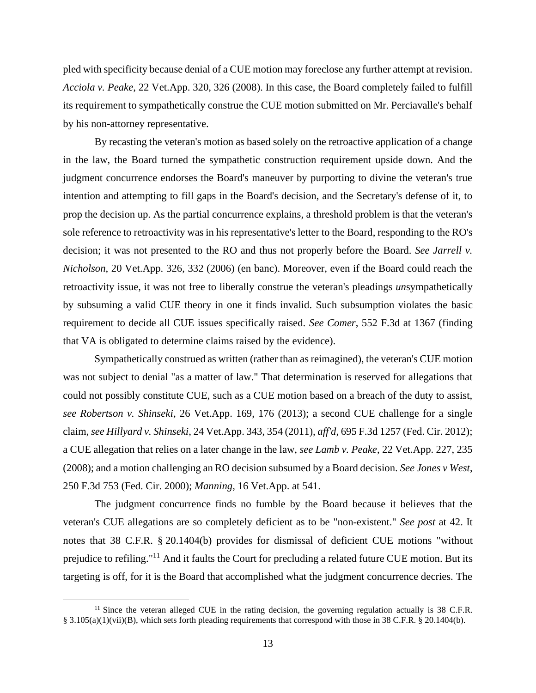pled with specificity because denial of a CUE motion may foreclose any further attempt at revision. *Acciola v. Peake*, 22 Vet.App. 320, 326 (2008). In this case, the Board completely failed to fulfill its requirement to sympathetically construe the CUE motion submitted on Mr. Perciavalle's behalf by his non-attorney representative.

By recasting the veteran's motion as based solely on the retroactive application of a change in the law, the Board turned the sympathetic construction requirement upside down. And the judgment concurrence endorses the Board's maneuver by purporting to divine the veteran's true intention and attempting to fill gaps in the Board's decision, and the Secretary's defense of it, to prop the decision up. As the partial concurrence explains, a threshold problem is that the veteran's sole reference to retroactivity was in his representative's letter to the Board, responding to the RO's decision; it was not presented to the RO and thus not properly before the Board. *See Jarrell v. Nicholson*, 20 Vet.App. 326, 332 (2006) (en banc). Moreover, even if the Board could reach the retroactivity issue, it was not free to liberally construe the veteran's pleadings *un*sympathetically by subsuming a valid CUE theory in one it finds invalid. Such subsumption violates the basic requirement to decide all CUE issues specifically raised. *See Comer*, 552 F.3d at 1367 (finding that VA is obligated to determine claims raised by the evidence).

Sympathetically construed as written (rather than as reimagined), the veteran's CUE motion was not subject to denial "as a matter of law." That determination is reserved for allegations that could not possibly constitute CUE, such as a CUE motion based on a breach of the duty to assist, *see Robertson v. Shinseki*, 26 Vet.App. 169, 176 (2013); a second CUE challenge for a single claim, *see Hillyard v. Shinseki*, 24 Vet.App. 343, 354 (2011), *aff'd*, 695 F.3d 1257 (Fed. Cir. 2012); a CUE allegation that relies on a later change in the law, *see Lamb v. Peake*, 22 Vet.App. 227, 235 (2008); and a motion challenging an RO decision subsumed by a Board decision. *See Jones v West*, 250 F.3d 753 (Fed. Cir. 2000); *Manning*, 16 Vet.App. at 541.

The judgment concurrence finds no fumble by the Board because it believes that the veteran's CUE allegations are so completely deficient as to be "non-existent." *See post* at 42. It notes that 38 C.F.R. § 20.1404(b) provides for dismissal of deficient CUE motions "without prejudice to refiling."<sup>11</sup> And it faults the Court for precluding a related future CUE motion. But its targeting is off, for it is the Board that accomplished what the judgment concurrence decries. The

 $11$  Since the veteran alleged CUE in the rating decision, the governing regulation actually is 38 C.F.R. § 3.105(a)(1)(vii)(B), which sets forth pleading requirements that correspond with those in 38 C.F.R. § 20.1404(b).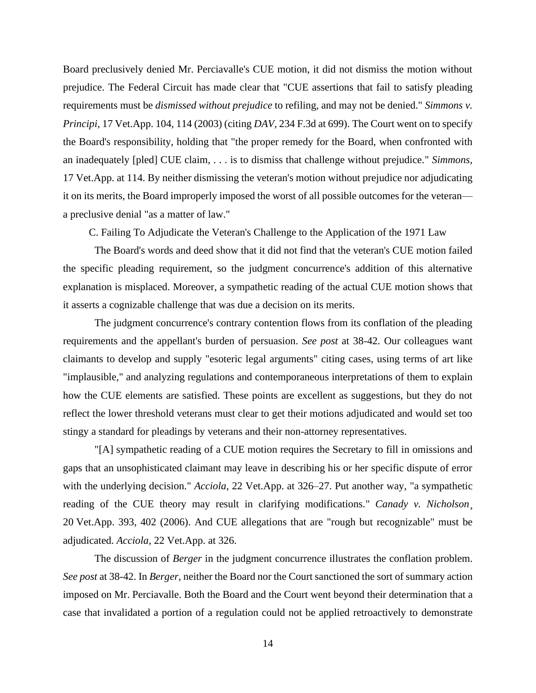Board preclusively denied Mr. Perciavalle's CUE motion, it did not dismiss the motion without prejudice. The Federal Circuit has made clear that "CUE assertions that fail to satisfy pleading requirements must be *dismissed without prejudice* to refiling, and may not be denied." *Simmons v. Principi*, 17 Vet.App. 104, 114 (2003) (citing *DAV*, 234 F.3d at 699). The Court went on to specify the Board's responsibility, holding that "the proper remedy for the Board, when confronted with an inadequately [pled] CUE claim, . . . is to dismiss that challenge without prejudice." *Simmons*, 17 Vet.App. at 114. By neither dismissing the veteran's motion without prejudice nor adjudicating it on its merits, the Board improperly imposed the worst of all possible outcomes for the veteran a preclusive denial "as a matter of law."

C. Failing To Adjudicate the Veteran's Challenge to the Application of the 1971 Law

The Board's words and deed show that it did not find that the veteran's CUE motion failed the specific pleading requirement, so the judgment concurrence's addition of this alternative explanation is misplaced. Moreover, a sympathetic reading of the actual CUE motion shows that it asserts a cognizable challenge that was due a decision on its merits.

The judgment concurrence's contrary contention flows from its conflation of the pleading requirements and the appellant's burden of persuasion. *See post* at 38-42. Our colleagues want claimants to develop and supply "esoteric legal arguments" citing cases, using terms of art like "implausible," and analyzing regulations and contemporaneous interpretations of them to explain how the CUE elements are satisfied. These points are excellent as suggestions, but they do not reflect the lower threshold veterans must clear to get their motions adjudicated and would set too stingy a standard for pleadings by veterans and their non-attorney representatives.

"[A] sympathetic reading of a CUE motion requires the Secretary to fill in omissions and gaps that an unsophisticated claimant may leave in describing his or her specific dispute of error with the underlying decision." *Acciola*, 22 Vet.App. at 326–27. Put another way, "a sympathetic reading of the CUE theory may result in clarifying modifications." *Canady v. Nicholson*, 20 Vet.App. 393, 402 (2006). And CUE allegations that are "rough but recognizable" must be adjudicated. *Acciola*, 22 Vet.App. at 326.

The discussion of *Berger* in the judgment concurrence illustrates the conflation problem. *See post* at 38-42. In *Berger*, neither the Board nor the Court sanctioned the sort of summary action imposed on Mr. Perciavalle. Both the Board and the Court went beyond their determination that a case that invalidated a portion of a regulation could not be applied retroactively to demonstrate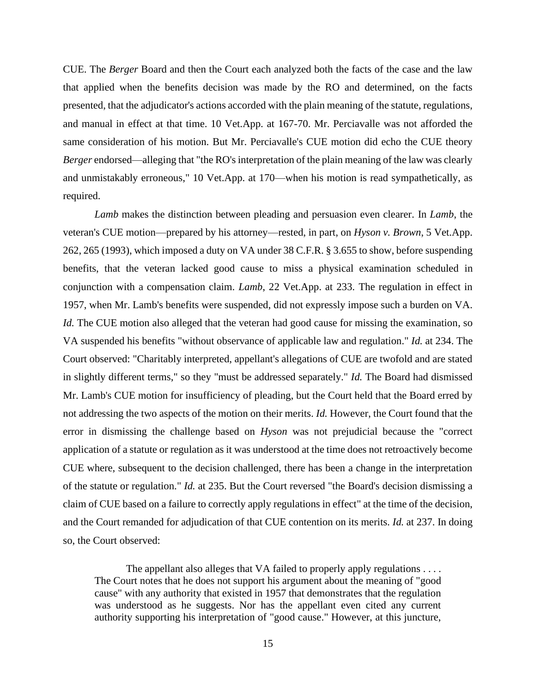CUE. The *Berger* Board and then the Court each analyzed both the facts of the case and the law that applied when the benefits decision was made by the RO and determined, on the facts presented, that the adjudicator's actions accorded with the plain meaning of the statute, regulations, and manual in effect at that time. 10 Vet.App. at 167-70. Mr. Perciavalle was not afforded the same consideration of his motion. But Mr. Perciavalle's CUE motion did echo the CUE theory *Berger* endorsed—alleging that "the RO's interpretation of the plain meaning of the law was clearly and unmistakably erroneous," 10 Vet.App. at 170—when his motion is read sympathetically, as required.

*Lamb* makes the distinction between pleading and persuasion even clearer. In *Lamb*, the veteran's CUE motion—prepared by his attorney—rested, in part, on *Hyson v. Brown*, 5 Vet.App. 262, 265 (1993), which imposed a duty on VA under 38 C.F.R. § 3.655 to show, before suspending benefits, that the veteran lacked good cause to miss a physical examination scheduled in conjunction with a compensation claim. *Lamb*, 22 Vet.App. at 233. The regulation in effect in 1957, when Mr. Lamb's benefits were suspended, did not expressly impose such a burden on VA. *Id.* The CUE motion also alleged that the veteran had good cause for missing the examination, so VA suspended his benefits "without observance of applicable law and regulation." *Id.* at 234. The Court observed: "Charitably interpreted, appellant's allegations of CUE are twofold and are stated in slightly different terms," so they "must be addressed separately." *Id.* The Board had dismissed Mr. Lamb's CUE motion for insufficiency of pleading, but the Court held that the Board erred by not addressing the two aspects of the motion on their merits. *Id.* However, the Court found that the error in dismissing the challenge based on *Hyson* was not prejudicial because the "correct application of a statute or regulation as it was understood at the time does not retroactively become CUE where, subsequent to the decision challenged, there has been a change in the interpretation of the statute or regulation." *Id.* at 235. But the Court reversed "the Board's decision dismissing a claim of CUE based on a failure to correctly apply regulations in effect" at the time of the decision, and the Court remanded for adjudication of that CUE contention on its merits. *Id.* at 237. In doing so, the Court observed:

The appellant also alleges that VA failed to properly apply regulations . . . . The Court notes that he does not support his argument about the meaning of "good cause" with any authority that existed in 1957 that demonstrates that the regulation was understood as he suggests. Nor has the appellant even cited any current authority supporting his interpretation of "good cause." However, at this juncture,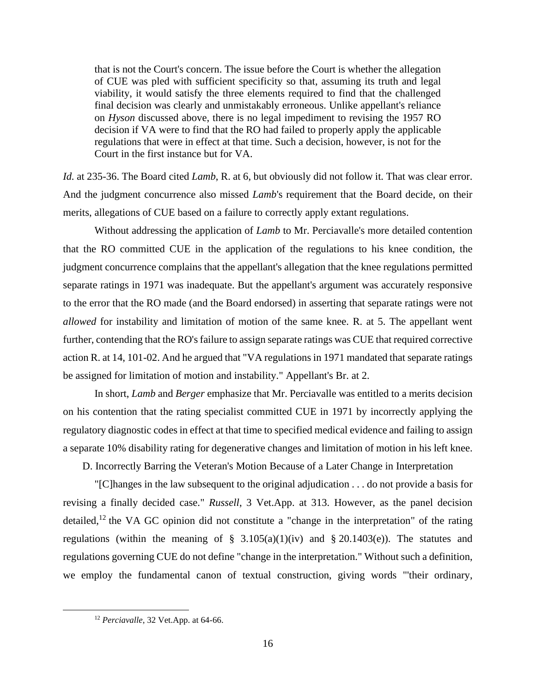that is not the Court's concern. The issue before the Court is whether the allegation of CUE was pled with sufficient specificity so that, assuming its truth and legal viability, it would satisfy the three elements required to find that the challenged final decision was clearly and unmistakably erroneous. Unlike appellant's reliance on *Hyson* discussed above, there is no legal impediment to revising the 1957 RO decision if VA were to find that the RO had failed to properly apply the applicable regulations that were in effect at that time. Such a decision, however, is not for the Court in the first instance but for VA.

*Id.* at 235-36. The Board cited *Lamb*, R. at 6, but obviously did not follow it. That was clear error. And the judgment concurrence also missed *Lamb*'s requirement that the Board decide, on their merits, allegations of CUE based on a failure to correctly apply extant regulations.

Without addressing the application of *Lamb* to Mr. Perciavalle's more detailed contention that the RO committed CUE in the application of the regulations to his knee condition, the judgment concurrence complains that the appellant's allegation that the knee regulations permitted separate ratings in 1971 was inadequate. But the appellant's argument was accurately responsive to the error that the RO made (and the Board endorsed) in asserting that separate ratings were not *allowed* for instability and limitation of motion of the same knee. R. at 5. The appellant went further, contending that the RO's failure to assign separate ratings was CUE that required corrective action R. at 14, 101-02. And he argued that "VA regulations in 1971 mandated that separate ratings be assigned for limitation of motion and instability." Appellant's Br. at 2.

In short, *Lamb* and *Berger* emphasize that Mr. Perciavalle was entitled to a merits decision on his contention that the rating specialist committed CUE in 1971 by incorrectly applying the regulatory diagnostic codes in effect at that time to specified medical evidence and failing to assign a separate 10% disability rating for degenerative changes and limitation of motion in his left knee.

D. Incorrectly Barring the Veteran's Motion Because of a Later Change in Interpretation

"[C]hanges in the law subsequent to the original adjudication . . . do not provide a basis for revising a finally decided case." *Russell*, 3 Vet.App. at 313. However, as the panel decision detailed,<sup>12</sup> the VA GC opinion did not constitute a "change in the interpretation" of the rating regulations (within the meaning of  $\S$  3.105(a)(1)(iv) and  $\S$  20.1403(e)). The statutes and regulations governing CUE do not define "change in the interpretation." Without such a definition, we employ the fundamental canon of textual construction, giving words "'their ordinary,

<sup>12</sup> *Perciavalle*, 32 Vet.App. at 64-66.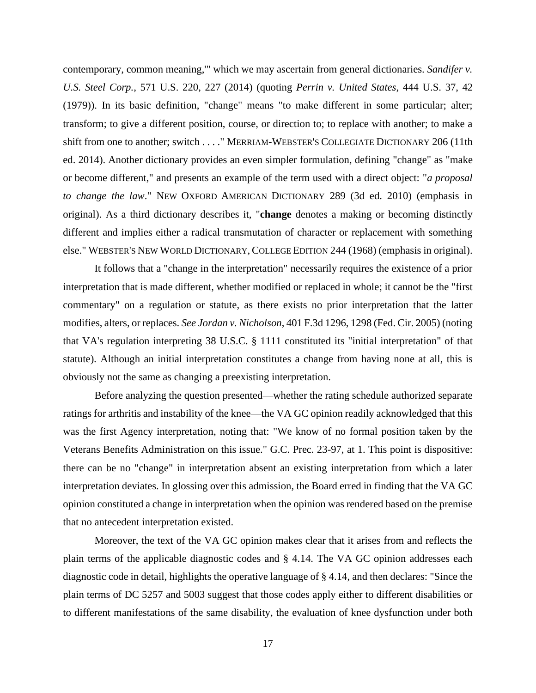contemporary, common meaning,'" which we may ascertain from general dictionaries. *Sandifer v. U.S. Steel Corp.*, 571 U.S. 220, 227 (2014) (quoting *Perrin v. United States*, 444 U.S. 37, 42 (1979)). In its basic definition, "change" means "to make different in some particular; alter; transform; to give a different position, course, or direction to; to replace with another; to make a shift from one to another; switch . . . ." MERRIAM-WEBSTER'S COLLEGIATE DICTIONARY 206 (11th ed. 2014). Another dictionary provides an even simpler formulation, defining "change" as "make or become different," and presents an example of the term used with a direct object: "*a proposal to change the law*." NEW OXFORD AMERICAN DICTIONARY 289 (3d ed. 2010) (emphasis in original). As a third dictionary describes it, "**change** denotes a making or becoming distinctly different and implies either a radical transmutation of character or replacement with something else." WEBSTER'S NEW WORLD DICTIONARY, COLLEGE EDITION 244 (1968) (emphasis in original).

It follows that a "change in the interpretation" necessarily requires the existence of a prior interpretation that is made different, whether modified or replaced in whole; it cannot be the "first commentary" on a regulation or statute, as there exists no prior interpretation that the latter modifies, alters, or replaces. *See Jordan v. Nicholson*, 401 F.3d 1296, 1298 (Fed. Cir. 2005) (noting that VA's regulation interpreting 38 U.S.C. § 1111 constituted its "initial interpretation" of that statute). Although an initial interpretation constitutes a change from having none at all, this is obviously not the same as changing a preexisting interpretation.

Before analyzing the question presented—whether the rating schedule authorized separate ratings for arthritis and instability of the knee—the VA GC opinion readily acknowledged that this was the first Agency interpretation, noting that: "We know of no formal position taken by the Veterans Benefits Administration on this issue." G.C. Prec. 23-97, at 1. This point is dispositive: there can be no "change" in interpretation absent an existing interpretation from which a later interpretation deviates. In glossing over this admission, the Board erred in finding that the VA GC opinion constituted a change in interpretation when the opinion was rendered based on the premise that no antecedent interpretation existed.

Moreover, the text of the VA GC opinion makes clear that it arises from and reflects the plain terms of the applicable diagnostic codes and § 4.14. The VA GC opinion addresses each diagnostic code in detail, highlights the operative language of § 4.14, and then declares: "Since the plain terms of DC 5257 and 5003 suggest that those codes apply either to different disabilities or to different manifestations of the same disability, the evaluation of knee dysfunction under both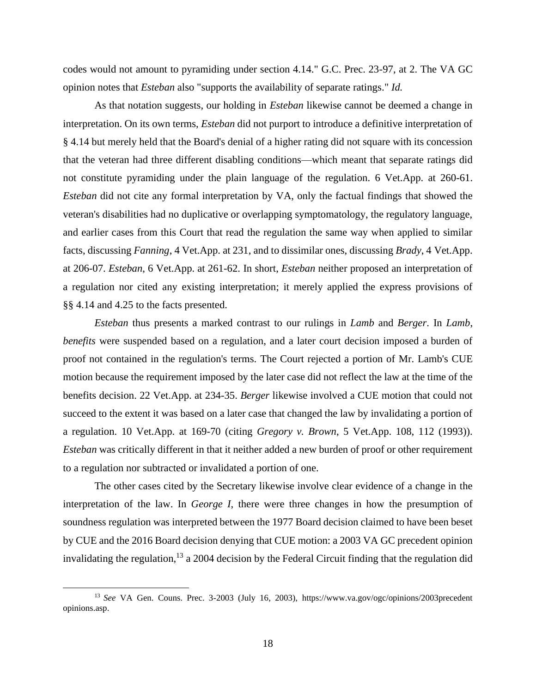codes would not amount to pyramiding under section 4.14." G.C. Prec. 23-97, at 2. The VA GC opinion notes that *Esteban* also "supports the availability of separate ratings." *Id.*

As that notation suggests, our holding in *Esteban* likewise cannot be deemed a change in interpretation. On its own terms, *Esteban* did not purport to introduce a definitive interpretation of § 4.14 but merely held that the Board's denial of a higher rating did not square with its concession that the veteran had three different disabling conditions—which meant that separate ratings did not constitute pyramiding under the plain language of the regulation. 6 Vet.App. at 260-61. *Esteban* did not cite any formal interpretation by VA, only the factual findings that showed the veteran's disabilities had no duplicative or overlapping symptomatology, the regulatory language, and earlier cases from this Court that read the regulation the same way when applied to similar facts, discussing *Fanning*, 4 Vet.App. at 231, and to dissimilar ones, discussing *Brady*, 4 Vet.App. at 206-07. *Esteban*, 6 Vet.App. at 261-62. In short, *Esteban* neither proposed an interpretation of a regulation nor cited any existing interpretation; it merely applied the express provisions of §§ 4.14 and 4.25 to the facts presented.

*Esteban* thus presents a marked contrast to our rulings in *Lamb* and *Berger*. In *Lamb*, *benefits* were suspended based on a regulation, and a later court decision imposed a burden of proof not contained in the regulation's terms. The Court rejected a portion of Mr. Lamb's CUE motion because the requirement imposed by the later case did not reflect the law at the time of the benefits decision. 22 Vet.App. at 234-35. *Berger* likewise involved a CUE motion that could not succeed to the extent it was based on a later case that changed the law by invalidating a portion of a regulation. 10 Vet.App. at 169-70 (citing *Gregory v. Brown*, 5 Vet.App. 108, 112 (1993)). *Esteban* was critically different in that it neither added a new burden of proof or other requirement to a regulation nor subtracted or invalidated a portion of one.

The other cases cited by the Secretary likewise involve clear evidence of a change in the interpretation of the law. In *George I*, there were three changes in how the presumption of soundness regulation was interpreted between the 1977 Board decision claimed to have been beset by CUE and the 2016 Board decision denying that CUE motion: a 2003 VA GC precedent opinion invalidating the regulation,<sup>13</sup> a 2004 decision by the Federal Circuit finding that the regulation did

<sup>13</sup> *See* VA Gen. Couns. Prec. 3-2003 (July 16, 2003), https://www.va.gov/ogc/opinions/2003precedent opinions.asp.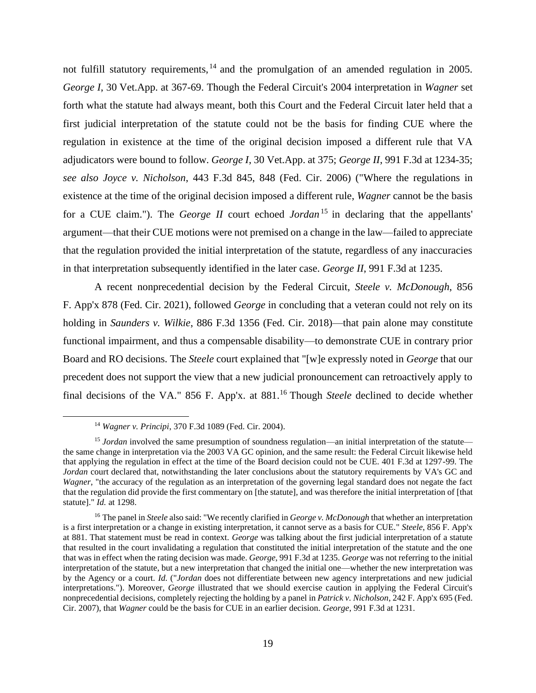not fulfill statutory requirements, <sup>14</sup> and the promulgation of an amended regulation in 2005. *George I*, 30 Vet.App. at 367-69. Though the Federal Circuit's 2004 interpretation in *Wagner* set forth what the statute had always meant, both this Court and the Federal Circuit later held that a first judicial interpretation of the statute could not be the basis for finding CUE where the regulation in existence at the time of the original decision imposed a different rule that VA adjudicators were bound to follow. *George I*, 30 Vet.App. at 375; *George II*, 991 F.3d at 1234-35; *see also Joyce v. Nicholson*, 443 F.3d 845, 848 (Fed. Cir. 2006) ("Where the regulations in existence at the time of the original decision imposed a different rule, *Wagner* cannot be the basis for a CUE claim."). The *George II* court echoed *Jordan* <sup>15</sup> in declaring that the appellants' argument—that their CUE motions were not premised on a change in the law—failed to appreciate that the regulation provided the initial interpretation of the statute, regardless of any inaccuracies in that interpretation subsequently identified in the later case. *George II*, 991 F.3d at 1235.

A recent nonprecedential decision by the Federal Circuit, *Steele v. McDonough*, 856 F. App'x 878 (Fed. Cir. 2021), followed *George* in concluding that a veteran could not rely on its holding in *Saunders v. Wilkie*, 886 F.3d 1356 (Fed. Cir. 2018)—that pain alone may constitute functional impairment, and thus a compensable disability—to demonstrate CUE in contrary prior Board and RO decisions. The *Steele* court explained that "[w]e expressly noted in *George* that our precedent does not support the view that a new judicial pronouncement can retroactively apply to final decisions of the VA." 856 F. App'x. at 881.<sup>16</sup> Though *Steele* declined to decide whether

<sup>14</sup> *Wagner v. Principi*, 370 F.3d 1089 (Fed. Cir. 2004).

<sup>&</sup>lt;sup>15</sup> *Jordan* involved the same presumption of soundness regulation—an initial interpretation of the statute the same change in interpretation via the 2003 VA GC opinion, and the same result: the Federal Circuit likewise held that applying the regulation in effect at the time of the Board decision could not be CUE. 401 F.3d at 1297-99. The *Jordan* court declared that, notwithstanding the later conclusions about the statutory requirements by VA's GC and *Wagner*, "the accuracy of the regulation as an interpretation of the governing legal standard does not negate the fact that the regulation did provide the first commentary on [the statute], and was therefore the initial interpretation of [that statute]." *Id.* at 1298.

<sup>16</sup> The panel in *Steele* also said: "We recently clarified in *George v. McDonough* that whether an interpretation is a first interpretation or a change in existing interpretation, it cannot serve as a basis for CUE." *Steele*, 856 F. App'x at 881. That statement must be read in context. *George* was talking about the first judicial interpretation of a statute that resulted in the court invalidating a regulation that constituted the initial interpretation of the statute and the one that was in effect when the rating decision was made. *George*, 991 F.3d at 1235. *George* was not referring to the initial interpretation of the statute, but a new interpretation that changed the initial one—whether the new interpretation was by the Agency or a court. *Id.* ("*Jordan* does not differentiate between new agency interpretations and new judicial interpretations."). Moreover, *George* illustrated that we should exercise caution in applying the Federal Circuit's nonprecedential decisions, completely rejecting the holding by a panel in *Patrick v. Nicholson*, 242 F. App'x 695 (Fed. Cir. 2007), that *Wagner* could be the basis for CUE in an earlier decision. *George*, 991 F.3d at 1231.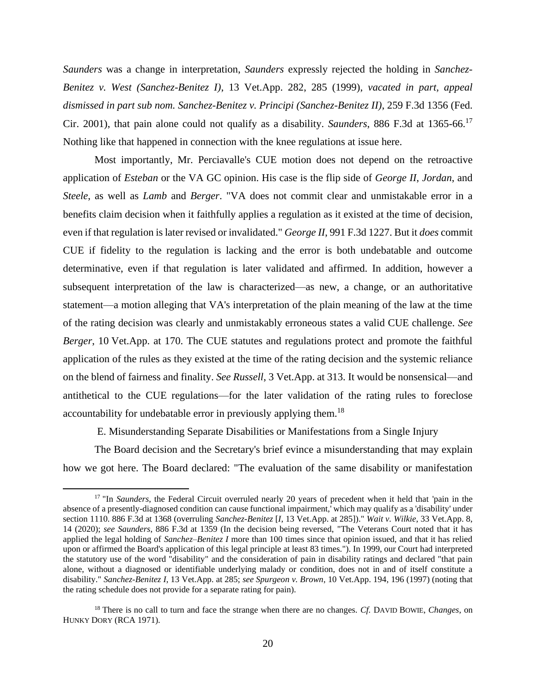*Saunders* was a change in interpretation, *Saunders* expressly rejected the holding in *Sanchez-Benitez v. West (Sanchez-Benitez I)*, 13 Vet.App. 282, 285 (1999), *vacated in part, appeal dismissed in part sub nom. Sanchez-Benitez v. Principi (Sanchez-Benitez II)*, 259 F.3d 1356 (Fed. Cir. 2001), that pain alone could not qualify as a disability. *Saunders*, 886 F.3d at 1365-66.<sup>17</sup> Nothing like that happened in connection with the knee regulations at issue here.

Most importantly, Mr. Perciavalle's CUE motion does not depend on the retroactive application of *Esteban* or the VA GC opinion. His case is the flip side of *George II*, *Jordan*, and *Steele*, as well as *Lamb* and *Berger*. "VA does not commit clear and unmistakable error in a benefits claim decision when it faithfully applies a regulation as it existed at the time of decision, even if that regulation is later revised or invalidated." *George II*, 991 F.3d 1227. But it *does* commit CUE if fidelity to the regulation is lacking and the error is both undebatable and outcome determinative, even if that regulation is later validated and affirmed. In addition, however a subsequent interpretation of the law is characterized—as new, a change, or an authoritative statement—a motion alleging that VA's interpretation of the plain meaning of the law at the time of the rating decision was clearly and unmistakably erroneous states a valid CUE challenge. *See Berger*, 10 Vet.App. at 170. The CUE statutes and regulations protect and promote the faithful application of the rules as they existed at the time of the rating decision and the systemic reliance on the blend of fairness and finality. *See Russell*, 3 Vet.App. at 313. It would be nonsensical—and antithetical to the CUE regulations—for the later validation of the rating rules to foreclose accountability for undebatable error in previously applying them.<sup>18</sup>

E. Misunderstanding Separate Disabilities or Manifestations from a Single Injury

The Board decision and the Secretary's brief evince a misunderstanding that may explain how we got here. The Board declared: "The evaluation of the same disability or manifestation

<sup>&</sup>lt;sup>17</sup> "In *Saunders*, the Federal Circuit overruled nearly 20 years of precedent when it held that 'pain in the absence of a presently-diagnosed condition can cause functional impairment,' which may qualify as a 'disability' under section 1110. 886 F.3d at 1368 (overruling *Sanchez-Benitez* [*I*, 13 Vet.App. at 285])." *Wait v. Wilkie*, 33 Vet.App. 8, 14 (2020); *see Saunders*, 886 F.3d at 1359 (In the decision being reversed, "The Veterans Court noted that it has applied the legal holding of *Sanchez–Benitez I* more than 100 times since that opinion issued, and that it has relied upon or affirmed the Board's application of this legal principle at least 83 times."). In 1999, our Court had interpreted the statutory use of the word "disability" and the consideration of pain in disability ratings and declared "that pain alone, without a diagnosed or identifiable underlying malady or condition, does not in and of itself constitute a disability." *Sanchez-Benitez I*, 13 Vet.App. at 285; *see Spurgeon v. Brown*, 10 Vet.App. 194, 196 (1997) (noting that the rating schedule does not provide for a separate rating for pain).

<sup>18</sup> There is no call to turn and face the strange when there are no changes. *Cf.* DAVID BOWIE, *Changes*, on HUNKY DORY (RCA 1971).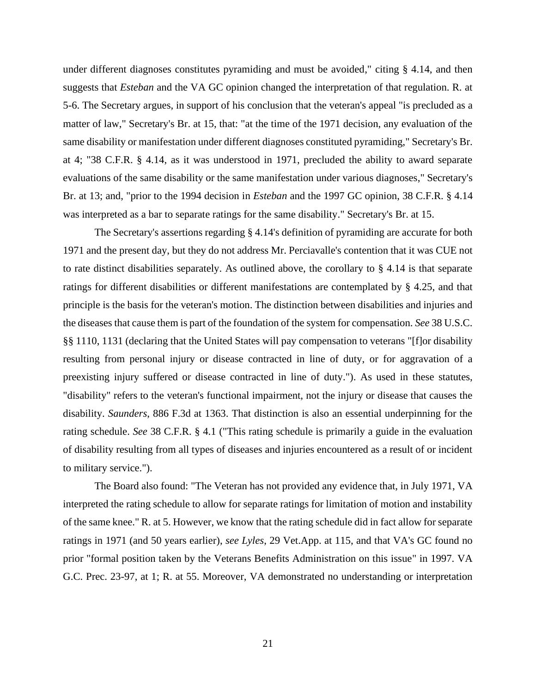under different diagnoses constitutes pyramiding and must be avoided," citing § 4.14, and then suggests that *Esteban* and the VA GC opinion changed the interpretation of that regulation. R. at 5-6. The Secretary argues, in support of his conclusion that the veteran's appeal "is precluded as a matter of law," Secretary's Br. at 15, that: "at the time of the 1971 decision, any evaluation of the same disability or manifestation under different diagnoses constituted pyramiding," Secretary's Br. at 4; "38 C.F.R. § 4.14, as it was understood in 1971, precluded the ability to award separate evaluations of the same disability or the same manifestation under various diagnoses," Secretary's Br. at 13; and, "prior to the 1994 decision in *Esteban* and the 1997 GC opinion, 38 C.F.R. § 4.14 was interpreted as a bar to separate ratings for the same disability." Secretary's Br. at 15.

The Secretary's assertions regarding § 4.14's definition of pyramiding are accurate for both 1971 and the present day, but they do not address Mr. Perciavalle's contention that it was CUE not to rate distinct disabilities separately. As outlined above, the corollary to § 4.14 is that separate ratings for different disabilities or different manifestations are contemplated by § 4.25, and that principle is the basis for the veteran's motion. The distinction between disabilities and injuries and the diseases that cause them is part of the foundation of the system for compensation. *See* 38 U.S.C. §§ 1110, 1131 (declaring that the United States will pay compensation to veterans "[f]or disability resulting from personal injury or disease contracted in line of duty, or for aggravation of a preexisting injury suffered or disease contracted in line of duty."). As used in these statutes, "disability" refers to the veteran's functional impairment, not the injury or disease that causes the disability. *Saunders*, 886 F.3d at 1363. That distinction is also an essential underpinning for the rating schedule. *See* 38 C.F.R. § 4.1 ("This rating schedule is primarily a guide in the evaluation of disability resulting from all types of diseases and injuries encountered as a result of or incident to military service.").

The Board also found: "The Veteran has not provided any evidence that, in July 1971, VA interpreted the rating schedule to allow for separate ratings for limitation of motion and instability of the same knee." R. at 5. However, we know that the rating schedule did in fact allow for separate ratings in 1971 (and 50 years earlier), *see Lyles*, 29 Vet.App. at 115, and that VA's GC found no prior "formal position taken by the Veterans Benefits Administration on this issue" in 1997. VA G.C. Prec. 23-97, at 1; R. at 55. Moreover, VA demonstrated no understanding or interpretation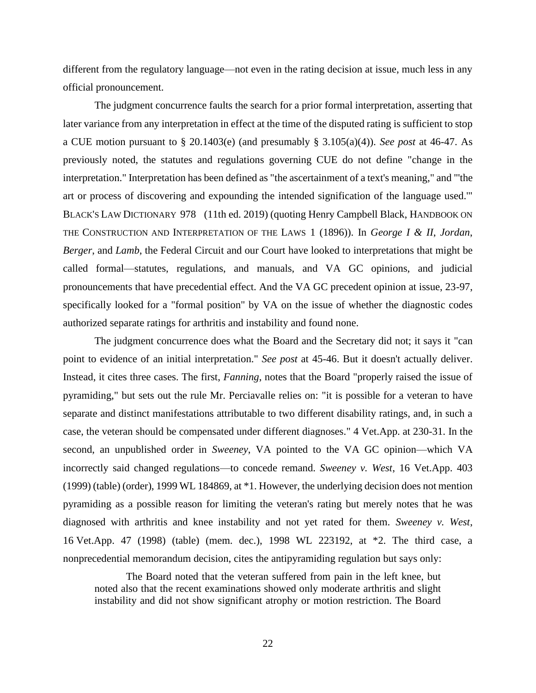different from the regulatory language—not even in the rating decision at issue, much less in any official pronouncement.

The judgment concurrence faults the search for a prior formal interpretation, asserting that later variance from any interpretation in effect at the time of the disputed rating is sufficient to stop a CUE motion pursuant to § 20.1403(e) (and presumably § 3.105(a)(4)). *See post* at 46-47. As previously noted, the statutes and regulations governing CUE do not define "change in the interpretation." Interpretation has been defined as "the ascertainment of a text's meaning," and "'the art or process of discovering and expounding the intended signification of the language used.'" BLACK'S LAW DICTIONARY 978 (11th ed. 2019) (quoting Henry Campbell Black, HANDBOOK ON THE CONSTRUCTION AND INTERPRETATION OF THE LAWS 1 (1896)). In *George I & II*, *Jordan*, *Berger*, and *Lamb*, the Federal Circuit and our Court have looked to interpretations that might be called formal—statutes, regulations, and manuals, and VA GC opinions, and judicial pronouncements that have precedential effect. And the VA GC precedent opinion at issue, 23-97, specifically looked for a "formal position" by VA on the issue of whether the diagnostic codes authorized separate ratings for arthritis and instability and found none.

The judgment concurrence does what the Board and the Secretary did not; it says it "can point to evidence of an initial interpretation." *See post* at 45-46. But it doesn't actually deliver. Instead, it cites three cases. The first, *Fanning*, notes that the Board "properly raised the issue of pyramiding," but sets out the rule Mr. Perciavalle relies on: "it is possible for a veteran to have separate and distinct manifestations attributable to two different disability ratings, and, in such a case, the veteran should be compensated under different diagnoses." 4 Vet.App. at 230-31. In the second, an unpublished order in *Sweeney*, VA pointed to the VA GC opinion—which VA incorrectly said changed regulations—to concede remand. *Sweeney v. West*, 16 Vet.App. 403 (1999) (table) (order), 1999 WL 184869, at \*1. However, the underlying decision does not mention pyramiding as a possible reason for limiting the veteran's rating but merely notes that he was diagnosed with arthritis and knee instability and not yet rated for them. *Sweeney v. West*, 16 Vet.App. 47 (1998) (table) (mem. dec.), 1998 WL 223192, at \*2. The third case, a nonprecedential memorandum decision, cites the antipyramiding regulation but says only:

The Board noted that the veteran suffered from pain in the left knee, but noted also that the recent examinations showed only moderate arthritis and slight instability and did not show significant atrophy or motion restriction. The Board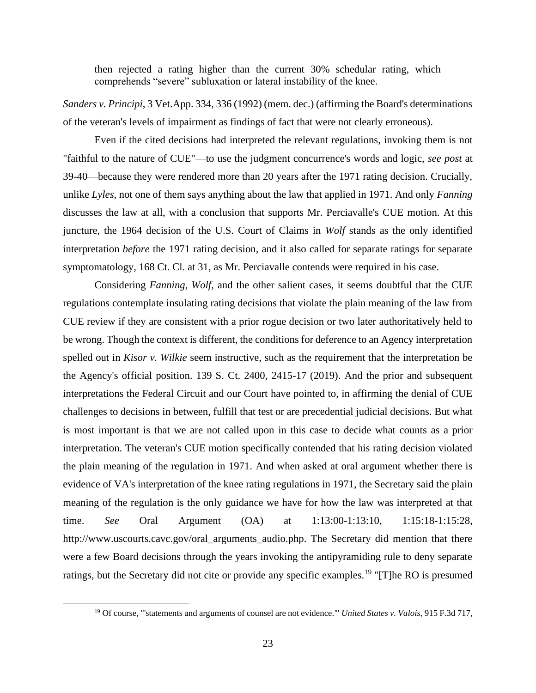then rejected a rating higher than the current 30% schedular rating, which comprehends "severe" subluxation or lateral instability of the knee.

*Sanders v. Principi*, 3 Vet.App. 334, 336 (1992) (mem. dec.) (affirming the Board's determinations of the veteran's levels of impairment as findings of fact that were not clearly erroneous).

Even if the cited decisions had interpreted the relevant regulations, invoking them is not "faithful to the nature of CUE"—to use the judgment concurrence's words and logic, *see post* at 39-40—because they were rendered more than 20 years after the 1971 rating decision. Crucially, unlike *Lyles*, not one of them says anything about the law that applied in 1971. And only *Fanning* discusses the law at all, with a conclusion that supports Mr. Perciavalle's CUE motion. At this juncture, the 1964 decision of the U.S. Court of Claims in *Wolf* stands as the only identified interpretation *before* the 1971 rating decision, and it also called for separate ratings for separate symptomatology, 168 Ct. Cl. at 31, as Mr. Perciavalle contends were required in his case.

Considering *Fanning*, *Wolf*, and the other salient cases, it seems doubtful that the CUE regulations contemplate insulating rating decisions that violate the plain meaning of the law from CUE review if they are consistent with a prior rogue decision or two later authoritatively held to be wrong. Though the context is different, the conditions for deference to an Agency interpretation spelled out in *Kisor v. Wilkie* seem instructive, such as the requirement that the interpretation be the Agency's official position. 139 S. Ct. 2400, 2415-17 (2019). And the prior and subsequent interpretations the Federal Circuit and our Court have pointed to, in affirming the denial of CUE challenges to decisions in between, fulfill that test or are precedential judicial decisions. But what is most important is that we are not called upon in this case to decide what counts as a prior interpretation. The veteran's CUE motion specifically contended that his rating decision violated the plain meaning of the regulation in 1971. And when asked at oral argument whether there is evidence of VA's interpretation of the knee rating regulations in 1971, the Secretary said the plain meaning of the regulation is the only guidance we have for how the law was interpreted at that time. *See* Oral Argument (OA) at 1:13:00-1:13:10, 1:15:18-1:15:28, http://www.uscourts.cavc.gov/oral\_arguments\_audio.php. The Secretary did mention that there were a few Board decisions through the years invoking the antipyramiding rule to deny separate ratings, but the Secretary did not cite or provide any specific examples.<sup>19</sup> "[T]he RO is presumed

<sup>19</sup> Of course, "'statements and arguments of counsel are not evidence.'" *United States v. Valois*, 915 F.3d 717,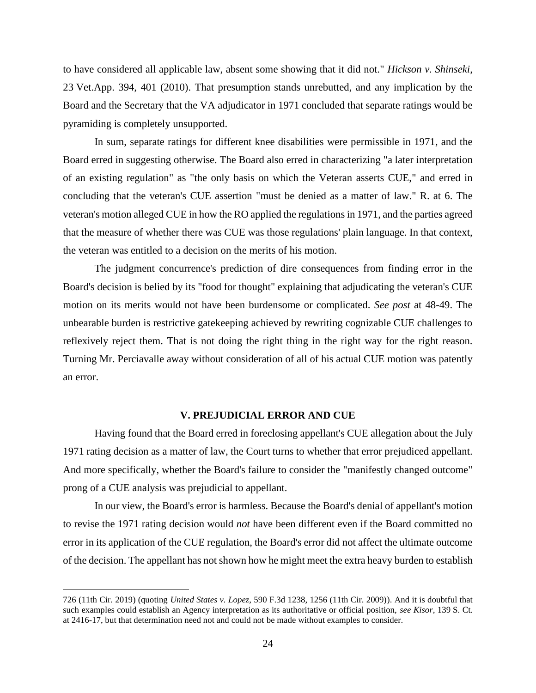to have considered all applicable law, absent some showing that it did not." *Hickson v. Shinseki*, 23 Vet.App. 394, 401 (2010). That presumption stands unrebutted, and any implication by the Board and the Secretary that the VA adjudicator in 1971 concluded that separate ratings would be pyramiding is completely unsupported.

In sum, separate ratings for different knee disabilities were permissible in 1971, and the Board erred in suggesting otherwise. The Board also erred in characterizing "a later interpretation of an existing regulation" as "the only basis on which the Veteran asserts CUE," and erred in concluding that the veteran's CUE assertion "must be denied as a matter of law." R. at 6. The veteran's motion alleged CUE in how the RO applied the regulations in 1971, and the parties agreed that the measure of whether there was CUE was those regulations' plain language. In that context, the veteran was entitled to a decision on the merits of his motion.

The judgment concurrence's prediction of dire consequences from finding error in the Board's decision is belied by its "food for thought" explaining that adjudicating the veteran's CUE motion on its merits would not have been burdensome or complicated. *See post* at 48-49. The unbearable burden is restrictive gatekeeping achieved by rewriting cognizable CUE challenges to reflexively reject them. That is not doing the right thing in the right way for the right reason. Turning Mr. Perciavalle away without consideration of all of his actual CUE motion was patently an error.

### **V. PREJUDICIAL ERROR AND CUE**

Having found that the Board erred in foreclosing appellant's CUE allegation about the July 1971 rating decision as a matter of law, the Court turns to whether that error prejudiced appellant. And more specifically, whether the Board's failure to consider the "manifestly changed outcome" prong of a CUE analysis was prejudicial to appellant.

In our view, the Board's error is harmless. Because the Board's denial of appellant's motion to revise the 1971 rating decision would *not* have been different even if the Board committed no error in its application of the CUE regulation, the Board's error did not affect the ultimate outcome of the decision. The appellant has not shown how he might meet the extra heavy burden to establish

<sup>726 (11</sup>th Cir. 2019) (quoting *United States v. Lopez*, 590 F.3d 1238, 1256 (11th Cir. 2009)). And it is doubtful that such examples could establish an Agency interpretation as its authoritative or official position, *see Kisor*, 139 S. Ct. at 2416-17, but that determination need not and could not be made without examples to consider.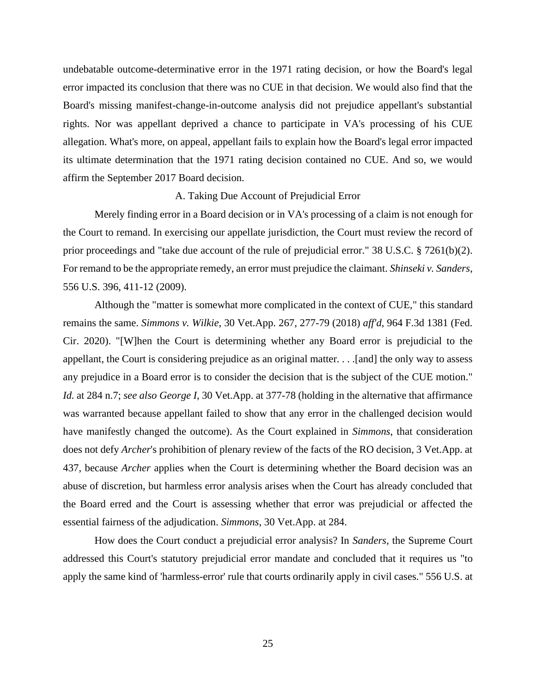undebatable outcome-determinative error in the 1971 rating decision, or how the Board's legal error impacted its conclusion that there was no CUE in that decision. We would also find that the Board's missing manifest-change-in-outcome analysis did not prejudice appellant's substantial rights. Nor was appellant deprived a chance to participate in VA's processing of his CUE allegation. What's more, on appeal, appellant fails to explain how the Board's legal error impacted its ultimate determination that the 1971 rating decision contained no CUE. And so, we would affirm the September 2017 Board decision.

#### A. Taking Due Account of Prejudicial Error

Merely finding error in a Board decision or in VA's processing of a claim is not enough for the Court to remand. In exercising our appellate jurisdiction, the Court must review the record of prior proceedings and "take due account of the rule of prejudicial error." 38 U.S.C. § 7261(b)(2). For remand to be the appropriate remedy, an error must prejudice the claimant. *Shinseki v. Sanders*, 556 U.S. 396, 411-12 (2009).

Although the "matter is somewhat more complicated in the context of CUE," this standard remains the same. *Simmons v. Wilkie*, 30 Vet.App. 267, 277-79 (2018) *aff'd*, 964 F.3d 1381 (Fed. Cir. 2020). "[W]hen the Court is determining whether any Board error is prejudicial to the appellant, the Court is considering prejudice as an original matter. . . .[and] the only way to assess any prejudice in a Board error is to consider the decision that is the subject of the CUE motion." *Id.* at 284 n.7; *see also George I*, 30 Vet.App. at 377-78 (holding in the alternative that affirmance was warranted because appellant failed to show that any error in the challenged decision would have manifestly changed the outcome). As the Court explained in *Simmons*, that consideration does not defy *Archer*'s prohibition of plenary review of the facts of the RO decision, 3 Vet.App. at 437, because *Archer* applies when the Court is determining whether the Board decision was an abuse of discretion, but harmless error analysis arises when the Court has already concluded that the Board erred and the Court is assessing whether that error was prejudicial or affected the essential fairness of the adjudication. *Simmons*, 30 Vet.App. at 284.

How does the Court conduct a prejudicial error analysis? In *Sanders,* the Supreme Court addressed this Court's statutory prejudicial error mandate and concluded that it requires us "to apply the same kind of 'harmless-error' rule that courts ordinarily apply in civil cases." 556 U.S. at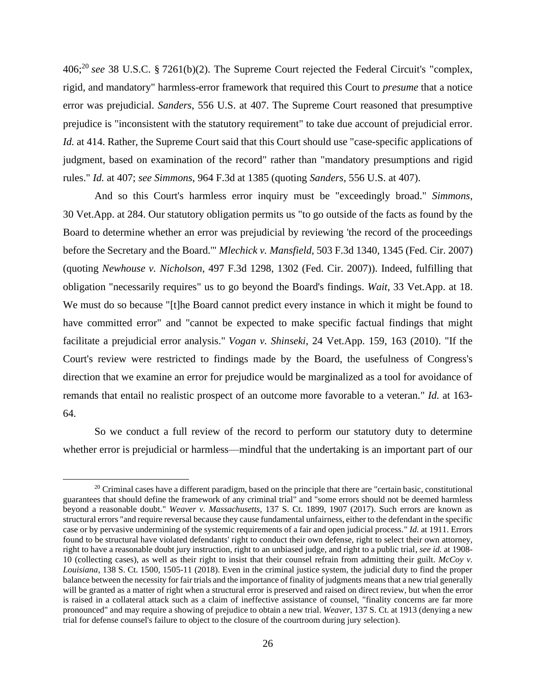406;<sup>20</sup> *see* 38 U.S.C. § 7261(b)(2). The Supreme Court rejected the Federal Circuit's "complex, rigid, and mandatory" harmless-error framework that required this Court to *presume* that a notice error was prejudicial. *Sanders*, 556 U.S. at 407. The Supreme Court reasoned that presumptive prejudice is "inconsistent with the statutory requirement" to take due account of prejudicial error. *Id.* at 414. Rather, the Supreme Court said that this Court should use "case-specific applications of judgment, based on examination of the record" rather than "mandatory presumptions and rigid rules." *Id.* at 407; *see Simmons*, 964 F.3d at 1385 (quoting *Sanders*, 556 U.S. at 407).

And so this Court's harmless error inquiry must be "exceedingly broad." *Simmons,* 30 Vet.App. at 284. Our statutory obligation permits us "to go outside of the facts as found by the Board to determine whether an error was prejudicial by reviewing 'the record of the proceedings before the Secretary and the Board.'" *Mlechick v. Mansfield*, 503 F.3d 1340, 1345 (Fed. Cir. 2007) (quoting *Newhouse v. Nicholson*, 497 F.3d 1298, 1302 (Fed. Cir. 2007)). Indeed, fulfilling that obligation "necessarily requires" us to go beyond the Board's findings. *Wait*, 33 Vet.App. at 18. We must do so because "[t]he Board cannot predict every instance in which it might be found to have committed error" and "cannot be expected to make specific factual findings that might facilitate a prejudicial error analysis." *Vogan v. Shinseki*, 24 Vet.App. 159, 163 (2010). "If the Court's review were restricted to findings made by the Board, the usefulness of Congress's direction that we examine an error for prejudice would be marginalized as a tool for avoidance of remands that entail no realistic prospect of an outcome more favorable to a veteran." *Id.* at 163- 64.

So we conduct a full review of the record to perform our statutory duty to determine whether error is prejudicial or harmless—mindful that the undertaking is an important part of our

 $20$  Criminal cases have a different paradigm, based on the principle that there are "certain basic, constitutional guarantees that should define the framework of any criminal trial" and "some errors should not be deemed harmless beyond a reasonable doubt." *Weaver v. Massachusetts*, 137 S. Ct. 1899, 1907 (2017). Such errors are known as structural errors "and require reversal because they cause fundamental unfairness, either to the defendant in the specific case or by pervasive undermining of the systemic requirements of a fair and open judicial process." *Id.* at 1911. Errors found to be structural have violated defendants' right to conduct their own defense, right to select their own attorney, right to have a reasonable doubt jury instruction, right to an unbiased judge, and right to a public trial, *see id.* at 1908- 10 (collecting cases), as well as their right to insist that their counsel refrain from admitting their guilt. *McCoy v. Louisiana*, 138 S. Ct. 1500, 1505-11 (2018). Even in the criminal justice system, the judicial duty to find the proper balance between the necessity for fair trials and the importance of finality of judgments means that a new trial generally will be granted as a matter of right when a structural error is preserved and raised on direct review, but when the error is raised in a collateral attack such as a claim of ineffective assistance of counsel, "finality concerns are far more pronounced" and may require a showing of prejudice to obtain a new trial. *Weaver*, 137 S. Ct. at 1913 (denying a new trial for defense counsel's failure to object to the closure of the courtroom during jury selection).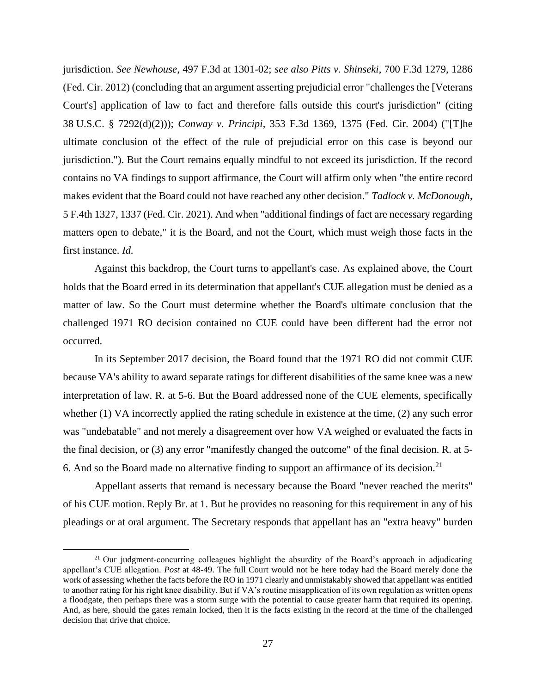jurisdiction. *See Newhouse*, 497 F.3d at 1301-02; *see also Pitts v. Shinseki*, 700 F.3d 1279, 1286 (Fed. Cir. 2012) (concluding that an argument asserting prejudicial error "challenges the [Veterans Court's] application of law to fact and therefore falls outside this court's jurisdiction" (citing 38 U.S.C. § 7292(d)(2))); *Conway v. Principi*, 353 F.3d 1369, 1375 (Fed. Cir. 2004) ("[T]he ultimate conclusion of the effect of the rule of prejudicial error on this case is beyond our jurisdiction."). But the Court remains equally mindful to not exceed its jurisdiction. If the record contains no VA findings to support affirmance, the Court will affirm only when "the entire record makes evident that the Board could not have reached any other decision." *Tadlock v. McDonough*, 5 F.4th 1327, 1337 (Fed. Cir. 2021). And when "additional findings of fact are necessary regarding matters open to debate," it is the Board, and not the Court, which must weigh those facts in the first instance. *Id.*

Against this backdrop, the Court turns to appellant's case. As explained above, the Court holds that the Board erred in its determination that appellant's CUE allegation must be denied as a matter of law. So the Court must determine whether the Board's ultimate conclusion that the challenged 1971 RO decision contained no CUE could have been different had the error not occurred.

In its September 2017 decision, the Board found that the 1971 RO did not commit CUE because VA's ability to award separate ratings for different disabilities of the same knee was a new interpretation of law. R. at 5-6. But the Board addressed none of the CUE elements, specifically whether (1) VA incorrectly applied the rating schedule in existence at the time, (2) any such error was "undebatable" and not merely a disagreement over how VA weighed or evaluated the facts in the final decision, or (3) any error "manifestly changed the outcome" of the final decision. R. at 5- 6. And so the Board made no alternative finding to support an affirmance of its decision.<sup>21</sup>

Appellant asserts that remand is necessary because the Board "never reached the merits" of his CUE motion. Reply Br. at 1. But he provides no reasoning for this requirement in any of his pleadings or at oral argument. The Secretary responds that appellant has an "extra heavy" burden

 $21$  Our judgment-concurring colleagues highlight the absurdity of the Board's approach in adjudicating appellant's CUE allegation. *Post* at 48-49. The full Court would not be here today had the Board merely done the work of assessing whether the facts before the RO in 1971 clearly and unmistakably showed that appellant was entitled to another rating for his right knee disability. But if VA's routine misapplication of its own regulation as written opens a floodgate, then perhaps there was a storm surge with the potential to cause greater harm that required its opening. And, as here, should the gates remain locked, then it is the facts existing in the record at the time of the challenged decision that drive that choice.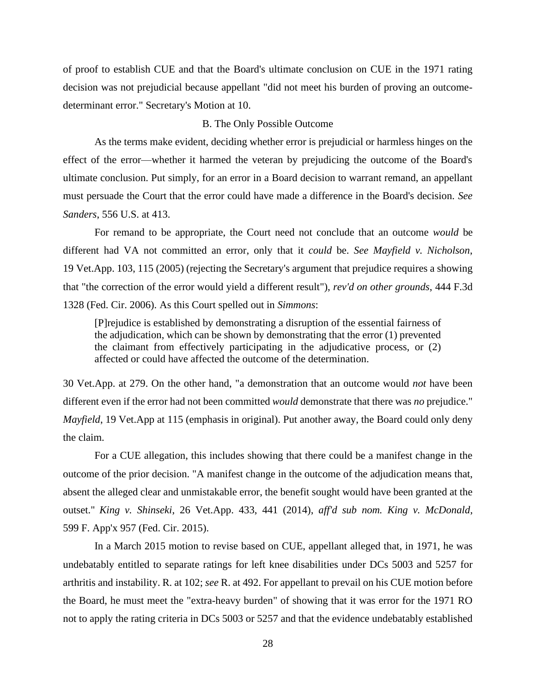of proof to establish CUE and that the Board's ultimate conclusion on CUE in the 1971 rating decision was not prejudicial because appellant "did not meet his burden of proving an outcomedeterminant error." Secretary's Motion at 10.

## B. The Only Possible Outcome

As the terms make evident, deciding whether error is prejudicial or harmless hinges on the effect of the error—whether it harmed the veteran by prejudicing the outcome of the Board's ultimate conclusion. Put simply, for an error in a Board decision to warrant remand, an appellant must persuade the Court that the error could have made a difference in the Board's decision. *See Sanders*, 556 U.S. at 413.

For remand to be appropriate, the Court need not conclude that an outcome *would* be different had VA not committed an error, only that it *could* be. *See Mayfield v. Nicholson*, 19 Vet.App. 103, 115 (2005) (rejecting the Secretary's argument that prejudice requires a showing that "the correction of the error would yield a different result"), *rev'd on other grounds*, 444 F.3d 1328 (Fed. Cir. 2006). As this Court spelled out in *Simmons*:

[P]rejudice is established by demonstrating a disruption of the essential fairness of the adjudication, which can be shown by demonstrating that the error (1) prevented the claimant from effectively participating in the adjudicative process, or (2) affected or could have affected the outcome of the determination.

30 Vet.App. at 279. On the other hand, "a demonstration that an outcome would *not* have been different even if the error had not been committed *would* demonstrate that there was *no* prejudice." *Mayfield*, 19 Vet.App at 115 (emphasis in original). Put another away, the Board could only deny the claim.

For a CUE allegation, this includes showing that there could be a manifest change in the outcome of the prior decision. "A manifest change in the outcome of the adjudication means that, absent the alleged clear and unmistakable error, the benefit sought would have been granted at the outset." *King v. Shinseki*, 26 Vet.App. 433, 441 (2014), *aff'd sub nom. King v. McDonald*, 599 F. App'x 957 (Fed. Cir. 2015).

In a March 2015 motion to revise based on CUE, appellant alleged that, in 1971, he was undebatably entitled to separate ratings for left knee disabilities under DCs 5003 and 5257 for arthritis and instability. R. at 102; *see* R. at 492. For appellant to prevail on his CUE motion before the Board, he must meet the "extra-heavy burden" of showing that it was error for the 1971 RO not to apply the rating criteria in DCs 5003 or 5257 and that the evidence undebatably established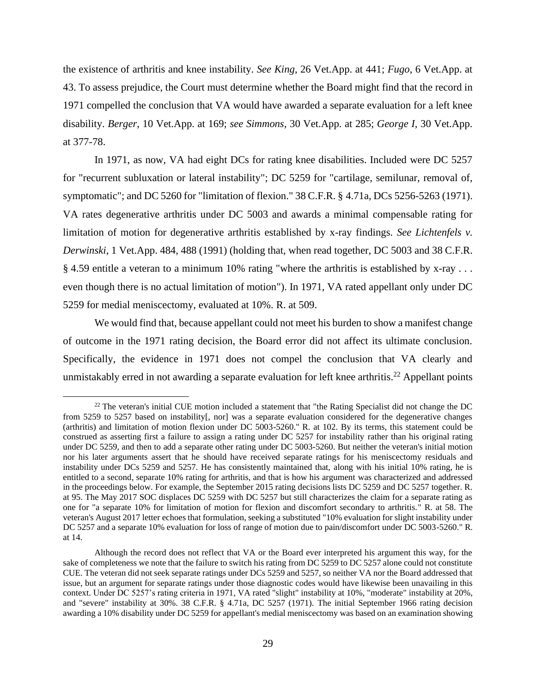the existence of arthritis and knee instability. *See King*, 26 Vet.App. at 441; *Fugo*, 6 Vet.App. at 43. To assess prejudice, the Court must determine whether the Board might find that the record in 1971 compelled the conclusion that VA would have awarded a separate evaluation for a left knee disability. *Berger*, 10 Vet.App. at 169; *see Simmons*, 30 Vet.App. at 285; *George I*, 30 Vet.App. at 377-78.

In 1971, as now, VA had eight DCs for rating knee disabilities. Included were DC 5257 for "recurrent subluxation or lateral instability"; DC 5259 for "cartilage, semilunar, removal of, symptomatic"; and DC 5260 for "limitation of flexion." 38 C.F.R. § 4.71a, DCs 5256-5263 (1971). VA rates degenerative arthritis under DC 5003 and awards a minimal compensable rating for limitation of motion for degenerative arthritis established by x-ray findings. *See Lichtenfels v. Derwinski*, 1 Vet.App. 484, 488 (1991) (holding that, when read together, DC 5003 and 38 C.F.R. § 4.59 entitle a veteran to a minimum 10% rating "where the arthritis is established by x-ray . . . even though there is no actual limitation of motion"). In 1971, VA rated appellant only under DC 5259 for medial meniscectomy, evaluated at 10%. R. at 509.

We would find that, because appellant could not meet his burden to show a manifest change of outcome in the 1971 rating decision, the Board error did not affect its ultimate conclusion. Specifically, the evidence in 1971 does not compel the conclusion that VA clearly and unmistakably erred in not awarding a separate evaluation for left knee arthritis.<sup>22</sup> Appellant points

 $22$  The veteran's initial CUE motion included a statement that "the Rating Specialist did not change the DC from 5259 to 5257 based on instability[, nor] was a separate evaluation considered for the degenerative changes (arthritis) and limitation of motion flexion under DC 5003-5260." R. at 102. By its terms, this statement could be construed as asserting first a failure to assign a rating under DC 5257 for instability rather than his original rating under DC 5259, and then to add a separate other rating under DC 5003-5260. But neither the veteran's initial motion nor his later arguments assert that he should have received separate ratings for his meniscectomy residuals and instability under DCs 5259 and 5257. He has consistently maintained that, along with his initial 10% rating, he is entitled to a second, separate 10% rating for arthritis, and that is how his argument was characterized and addressed in the proceedings below. For example, the September 2015 rating decisions lists DC 5259 and DC 5257 together. R. at 95. The May 2017 SOC displaces DC 5259 with DC 5257 but still characterizes the claim for a separate rating as one for "a separate 10% for limitation of motion for flexion and discomfort secondary to arthritis." R. at 58. The veteran's August 2017 letter echoes that formulation, seeking a substituted "10% evaluation for slight instability under DC 5257 and a separate 10% evaluation for loss of range of motion due to pain/discomfort under DC 5003-5260." R. at 14.

Although the record does not reflect that VA or the Board ever interpreted his argument this way, for the sake of completeness we note that the failure to switch his rating from DC 5259 to DC 5257 alone could not constitute CUE. The veteran did not seek separate ratings under DCs 5259 and 5257, so neither VA nor the Board addressed that issue, but an argument for separate ratings under those diagnostic codes would have likewise been unavailing in this context. Under DC 5257's rating criteria in 1971, VA rated "slight" instability at 10%, "moderate" instability at 20%, and "severe" instability at 30%. 38 C.F.R. § 4.71a, DC 5257 (1971). The initial September 1966 rating decision awarding a 10% disability under DC 5259 for appellant's medial meniscectomy was based on an examination showing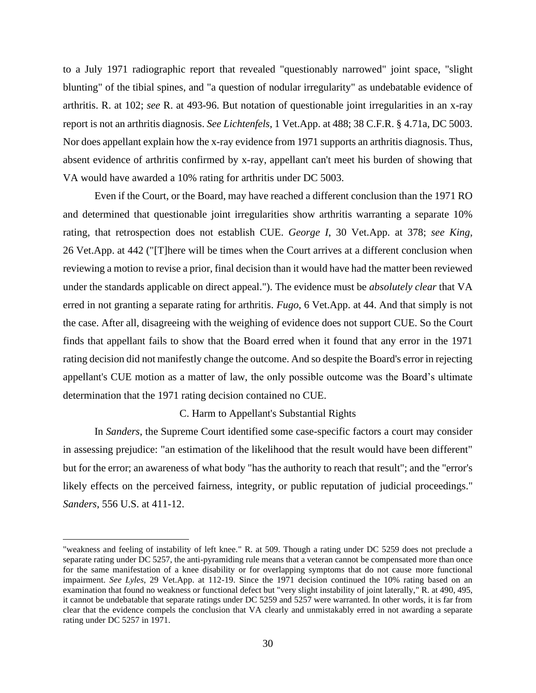to a July 1971 radiographic report that revealed "questionably narrowed" joint space, "slight blunting" of the tibial spines, and "a question of nodular irregularity" as undebatable evidence of arthritis. R. at 102; *see* R. at 493-96. But notation of questionable joint irregularities in an x-ray report is not an arthritis diagnosis. *See Lichtenfels*, 1 Vet.App. at 488; 38 C.F.R. § 4.71a, DC 5003. Nor does appellant explain how the x-ray evidence from 1971 supports an arthritis diagnosis. Thus, absent evidence of arthritis confirmed by x-ray, appellant can't meet his burden of showing that VA would have awarded a 10% rating for arthritis under DC 5003.

Even if the Court, or the Board, may have reached a different conclusion than the 1971 RO and determined that questionable joint irregularities show arthritis warranting a separate 10% rating, that retrospection does not establish CUE. *George I*, 30 Vet.App. at 378; *see King*, 26 Vet.App. at 442 ("[T]here will be times when the Court arrives at a different conclusion when reviewing a motion to revise a prior, final decision than it would have had the matter been reviewed under the standards applicable on direct appeal."). The evidence must be *absolutely clear* that VA erred in not granting a separate rating for arthritis. *Fugo*, 6 Vet.App. at 44. And that simply is not the case. After all, disagreeing with the weighing of evidence does not support CUE. So the Court finds that appellant fails to show that the Board erred when it found that any error in the 1971 rating decision did not manifestly change the outcome. And so despite the Board's error in rejecting appellant's CUE motion as a matter of law, the only possible outcome was the Board's ultimate determination that the 1971 rating decision contained no CUE.

## C. Harm to Appellant's Substantial Rights

In *Sanders*, the Supreme Court identified some case-specific factors a court may consider in assessing prejudice: "an estimation of the likelihood that the result would have been different" but for the error; an awareness of what body "has the authority to reach that result"; and the "error's likely effects on the perceived fairness, integrity, or public reputation of judicial proceedings." *Sanders*, 556 U.S. at 411-12.

<sup>&</sup>quot;weakness and feeling of instability of left knee." R. at 509. Though a rating under DC 5259 does not preclude a separate rating under DC 5257, the anti-pyramiding rule means that a veteran cannot be compensated more than once for the same manifestation of a knee disability or for overlapping symptoms that do not cause more functional impairment. *See Lyles*, 29 Vet.App. at 112-19. Since the 1971 decision continued the 10% rating based on an examination that found no weakness or functional defect but "very slight instability of joint laterally," R. at 490, 495, it cannot be undebatable that separate ratings under DC 5259 and 5257 were warranted. In other words, it is far from clear that the evidence compels the conclusion that VA clearly and unmistakably erred in not awarding a separate rating under DC 5257 in 1971.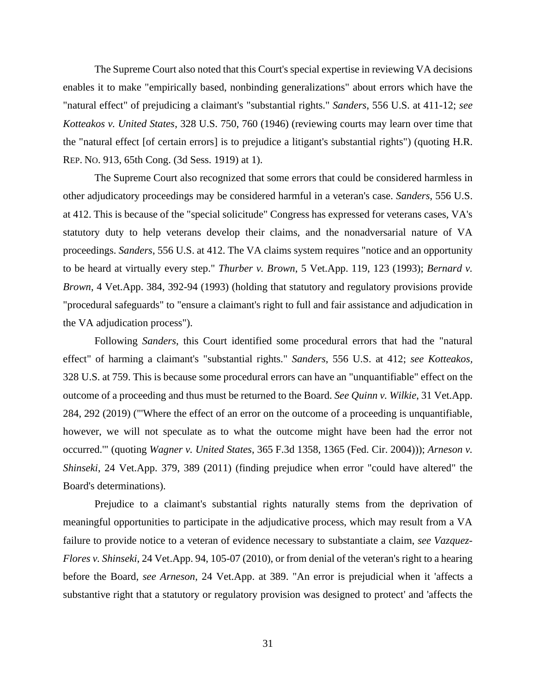The Supreme Court also noted that this Court's special expertise in reviewing VA decisions enables it to make "empirically based, nonbinding generalizations" about errors which have the "natural effect" of prejudicing a claimant's "substantial rights." *Sanders*, 556 U.S. at 411-12; *see Kotteakos v. United States*, 328 U.S. 750, 760 (1946) (reviewing courts may learn over time that the "natural effect [of certain errors] is to prejudice a litigant's substantial rights") (quoting H.R. REP. NO. 913, 65th Cong. (3d Sess. 1919) at 1).

The Supreme Court also recognized that some errors that could be considered harmless in other adjudicatory proceedings may be considered harmful in a veteran's case. *Sanders*, 556 U.S. at 412. This is because of the "special solicitude" Congress has expressed for veterans cases, VA's statutory duty to help veterans develop their claims, and the nonadversarial nature of VA proceedings. *Sanders*, 556 U.S. at 412. The VA claims system requires "notice and an opportunity to be heard at virtually every step." *Thurber v. Brown*, 5 Vet.App. 119, 123 (1993); *Bernard v. Brown*, 4 Vet.App. 384, 392-94 (1993) (holding that statutory and regulatory provisions provide "procedural safeguards" to "ensure a claimant's right to full and fair assistance and adjudication in the VA adjudication process").

Following *Sanders*, this Court identified some procedural errors that had the "natural effect" of harming a claimant's "substantial rights." *Sanders*, 556 U.S. at 412; *see Kotteakos,* 328 U.S. at 759. This is because some procedural errors can have an "unquantifiable" effect on the outcome of a proceeding and thus must be returned to the Board. *See Quinn v. Wilkie*, 31 Vet.App. 284, 292 (2019) ("'Where the effect of an error on the outcome of a proceeding is unquantifiable, however, we will not speculate as to what the outcome might have been had the error not occurred.'" (quoting *Wagner v. United States*, 365 F.3d 1358, 1365 (Fed. Cir. 2004))); *Arneson v. Shinseki*, 24 Vet.App. 379, 389 (2011) (finding prejudice when error "could have altered" the Board's determinations).

Prejudice to a claimant's substantial rights naturally stems from the deprivation of meaningful opportunities to participate in the adjudicative process, which may result from a VA failure to provide notice to a veteran of evidence necessary to substantiate a claim, *see Vazquez-Flores v. Shinseki*, 24 Vet.App. 94, 105-07 (2010), or from denial of the veteran's right to a hearing before the Board, *see Arneson*, 24 Vet.App. at 389. "An error is prejudicial when it 'affects a substantive right that a statutory or regulatory provision was designed to protect' and 'affects the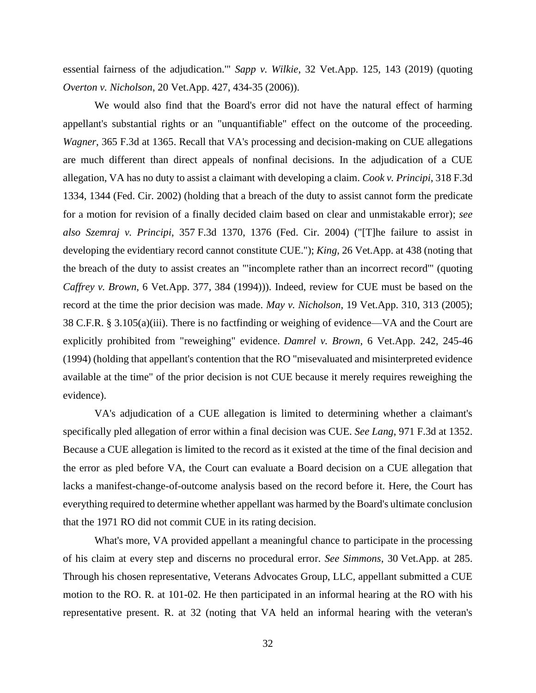essential fairness of the adjudication.'" *Sapp v. Wilkie*, 32 Vet.App. 125, 143 (2019) (quoting *Overton v. Nicholson*, 20 Vet.App. 427, 434-35 (2006)).

We would also find that the Board's error did not have the natural effect of harming appellant's substantial rights or an "unquantifiable" effect on the outcome of the proceeding. *Wagner*, 365 F.3d at 1365. Recall that VA's processing and decision-making on CUE allegations are much different than direct appeals of nonfinal decisions. In the adjudication of a CUE allegation, VA has no duty to assist a claimant with developing a claim. *Cook v. Principi*, 318 F.3d 1334, 1344 (Fed. Cir. 2002) (holding that a breach of the duty to assist cannot form the predicate for a motion for revision of a finally decided claim based on clear and unmistakable error); *see also Szemraj v. Principi*, 357 F.3d 1370, 1376 (Fed. Cir. 2004) ("[T]he failure to assist in developing the evidentiary record cannot constitute CUE."); *King*, 26 Vet.App. at 438 (noting that the breach of the duty to assist creates an "'incomplete rather than an incorrect record'" (quoting *Caffrey v. Brown*, 6 Vet.App. 377, 384 (1994))). Indeed, review for CUE must be based on the record at the time the prior decision was made. *May v. Nicholson*, 19 Vet.App. 310, 313 (2005); 38 C.F.R. § 3.105(a)(iii). There is no factfinding or weighing of evidence—VA and the Court are explicitly prohibited from "reweighing" evidence. *Damrel v. Brown*, 6 Vet.App. 242, 245-46 (1994) (holding that appellant's contention that the RO "misevaluated and misinterpreted evidence available at the time" of the prior decision is not CUE because it merely requires reweighing the evidence).

VA's adjudication of a CUE allegation is limited to determining whether a claimant's specifically pled allegation of error within a final decision was CUE. *See Lang*, 971 F.3d at 1352. Because a CUE allegation is limited to the record as it existed at the time of the final decision and the error as pled before VA, the Court can evaluate a Board decision on a CUE allegation that lacks a manifest-change-of-outcome analysis based on the record before it. Here, the Court has everything required to determine whether appellant was harmed by the Board's ultimate conclusion that the 1971 RO did not commit CUE in its rating decision.

What's more, VA provided appellant a meaningful chance to participate in the processing of his claim at every step and discerns no procedural error. *See Simmons*, 30 Vet.App. at 285. Through his chosen representative, Veterans Advocates Group, LLC, appellant submitted a CUE motion to the RO. R. at 101-02. He then participated in an informal hearing at the RO with his representative present. R. at 32 (noting that VA held an informal hearing with the veteran's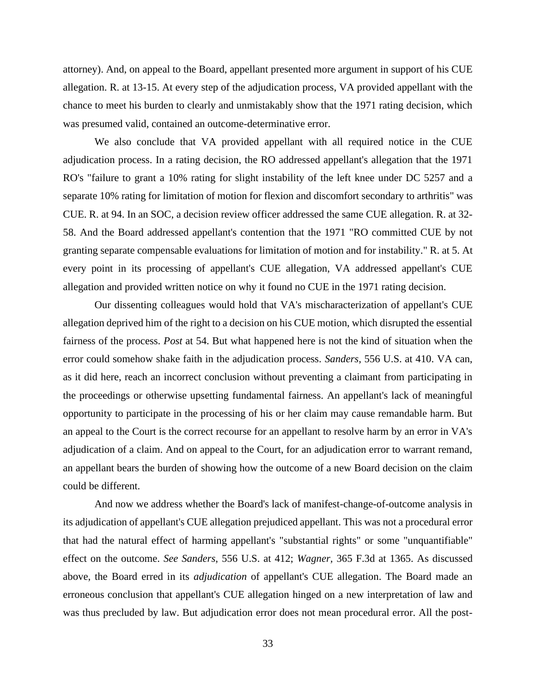attorney). And, on appeal to the Board, appellant presented more argument in support of his CUE allegation. R. at 13-15. At every step of the adjudication process, VA provided appellant with the chance to meet his burden to clearly and unmistakably show that the 1971 rating decision, which was presumed valid, contained an outcome-determinative error.

We also conclude that VA provided appellant with all required notice in the CUE adjudication process. In a rating decision, the RO addressed appellant's allegation that the 1971 RO's "failure to grant a 10% rating for slight instability of the left knee under DC 5257 and a separate 10% rating for limitation of motion for flexion and discomfort secondary to arthritis" was CUE. R. at 94. In an SOC, a decision review officer addressed the same CUE allegation. R. at 32- 58. And the Board addressed appellant's contention that the 1971 "RO committed CUE by not granting separate compensable evaluations for limitation of motion and for instability." R. at 5. At every point in its processing of appellant's CUE allegation, VA addressed appellant's CUE allegation and provided written notice on why it found no CUE in the 1971 rating decision.

Our dissenting colleagues would hold that VA's mischaracterization of appellant's CUE allegation deprived him of the right to a decision on his CUE motion, which disrupted the essential fairness of the process. *Post* at 54. But what happened here is not the kind of situation when the error could somehow shake faith in the adjudication process. *Sanders*, 556 U.S. at 410. VA can, as it did here, reach an incorrect conclusion without preventing a claimant from participating in the proceedings or otherwise upsetting fundamental fairness. An appellant's lack of meaningful opportunity to participate in the processing of his or her claim may cause remandable harm. But an appeal to the Court is the correct recourse for an appellant to resolve harm by an error in VA's adjudication of a claim. And on appeal to the Court, for an adjudication error to warrant remand, an appellant bears the burden of showing how the outcome of a new Board decision on the claim could be different.

And now we address whether the Board's lack of manifest-change-of-outcome analysis in its adjudication of appellant's CUE allegation prejudiced appellant. This was not a procedural error that had the natural effect of harming appellant's "substantial rights" or some "unquantifiable" effect on the outcome. *See Sanders*, 556 U.S. at 412; *Wagner,* 365 F.3d at 1365. As discussed above, the Board erred in its *adjudication* of appellant's CUE allegation. The Board made an erroneous conclusion that appellant's CUE allegation hinged on a new interpretation of law and was thus precluded by law. But adjudication error does not mean procedural error. All the post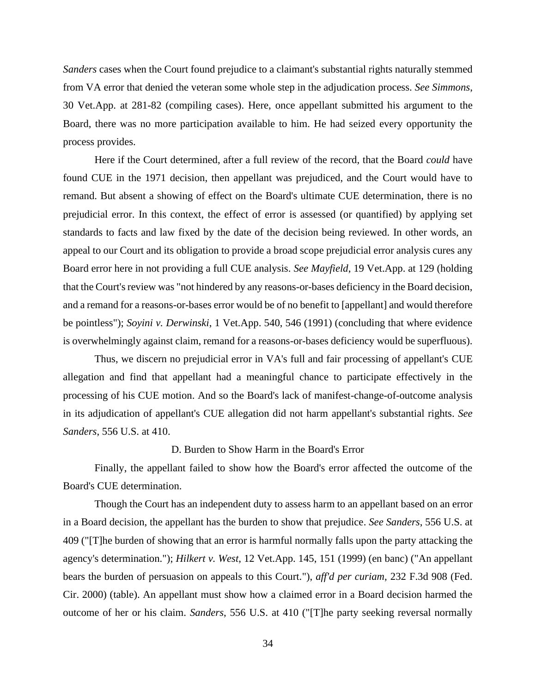*Sanders* cases when the Court found prejudice to a claimant's substantial rights naturally stemmed from VA error that denied the veteran some whole step in the adjudication process. *See Simmons*, 30 Vet.App. at 281-82 (compiling cases). Here, once appellant submitted his argument to the Board, there was no more participation available to him. He had seized every opportunity the process provides.

Here if the Court determined, after a full review of the record, that the Board *could* have found CUE in the 1971 decision, then appellant was prejudiced, and the Court would have to remand. But absent a showing of effect on the Board's ultimate CUE determination, there is no prejudicial error. In this context, the effect of error is assessed (or quantified) by applying set standards to facts and law fixed by the date of the decision being reviewed. In other words, an appeal to our Court and its obligation to provide a broad scope prejudicial error analysis cures any Board error here in not providing a full CUE analysis. *See Mayfield*, 19 Vet.App. at 129 (holding that the Court's review was "not hindered by any reasons-or-bases deficiency in the Board decision, and a remand for a reasons-or-bases error would be of no benefit to [appellant] and would therefore be pointless"); *Soyini v. Derwinski*, 1 Vet.App. 540, 546 (1991) (concluding that where evidence is overwhelmingly against claim, remand for a reasons-or-bases deficiency would be superfluous).

Thus, we discern no prejudicial error in VA's full and fair processing of appellant's CUE allegation and find that appellant had a meaningful chance to participate effectively in the processing of his CUE motion. And so the Board's lack of manifest-change-of-outcome analysis in its adjudication of appellant's CUE allegation did not harm appellant's substantial rights. *See Sanders*, 556 U.S. at 410.

# D. Burden to Show Harm in the Board's Error

Finally, the appellant failed to show how the Board's error affected the outcome of the Board's CUE determination.

Though the Court has an independent duty to assess harm to an appellant based on an error in a Board decision, the appellant has the burden to show that prejudice. *See Sanders*, 556 U.S. at 409 ("[T]he burden of showing that an error is harmful normally falls upon the party attacking the agency's determination."); *Hilkert v. West*, 12 Vet.App. 145, 151 (1999) (en banc) ("An appellant bears the burden of persuasion on appeals to this Court."), *aff'd per curiam*, 232 F.3d 908 (Fed. Cir. 2000) (table). An appellant must show how a claimed error in a Board decision harmed the outcome of her or his claim. *Sanders*, 556 U.S. at 410 ("[T]he party seeking reversal normally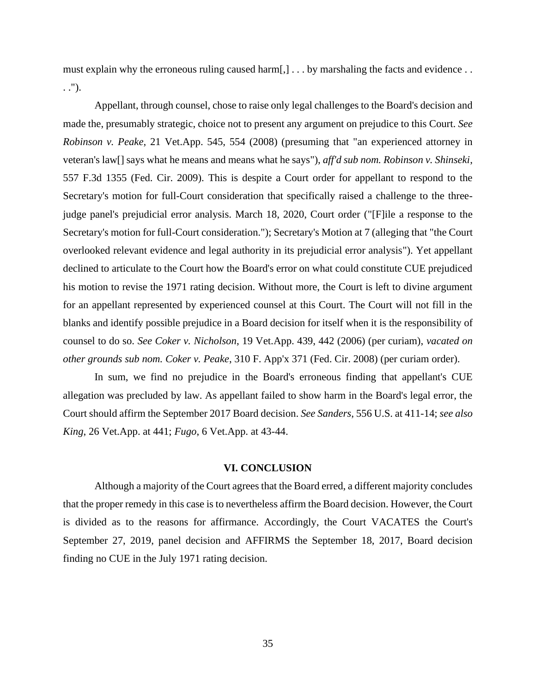must explain why the erroneous ruling caused harm[,] . . . by marshaling the facts and evidence . . . .").

Appellant, through counsel, chose to raise only legal challenges to the Board's decision and made the, presumably strategic, choice not to present any argument on prejudice to this Court. *See Robinson v. Peake*, 21 Vet.App. 545, 554 (2008) (presuming that "an experienced attorney in veteran's law[] says what he means and means what he says"), *aff'd sub nom. Robinson v. Shinseki*, 557 F.3d 1355 (Fed. Cir. 2009). This is despite a Court order for appellant to respond to the Secretary's motion for full-Court consideration that specifically raised a challenge to the threejudge panel's prejudicial error analysis. March 18, 2020, Court order ("[F]ile a response to the Secretary's motion for full-Court consideration."); Secretary's Motion at 7 (alleging that "the Court overlooked relevant evidence and legal authority in its prejudicial error analysis"). Yet appellant declined to articulate to the Court how the Board's error on what could constitute CUE prejudiced his motion to revise the 1971 rating decision. Without more, the Court is left to divine argument for an appellant represented by experienced counsel at this Court. The Court will not fill in the blanks and identify possible prejudice in a Board decision for itself when it is the responsibility of counsel to do so. *See Coker v. Nicholson*, 19 Vet.App. 439, 442 (2006) (per curiam), *vacated on other grounds sub nom. Coker v. Peake*, 310 F. App'x 371 (Fed. Cir. 2008) (per curiam order).

In sum, we find no prejudice in the Board's erroneous finding that appellant's CUE allegation was precluded by law. As appellant failed to show harm in the Board's legal error, the Court should affirm the September 2017 Board decision. *See Sanders*, 556 U.S. at 411-14; *see also King*, 26 Vet.App. at 441; *Fugo*, 6 Vet.App. at 43-44.

#### **VI. CONCLUSION**

Although a majority of the Court agrees that the Board erred, a different majority concludes that the proper remedy in this case is to nevertheless affirm the Board decision. However, the Court is divided as to the reasons for affirmance. Accordingly, the Court VACATES the Court's September 27, 2019, panel decision and AFFIRMS the September 18, 2017, Board decision finding no CUE in the July 1971 rating decision.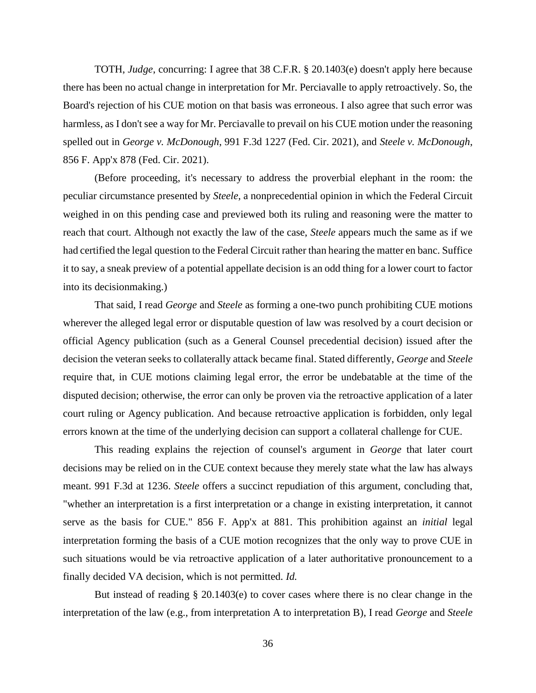TOTH, *Judge*, concurring: I agree that 38 C.F.R. § 20.1403(e) doesn't apply here because there has been no actual change in interpretation for Mr. Perciavalle to apply retroactively. So, the Board's rejection of his CUE motion on that basis was erroneous. I also agree that such error was harmless, as I don't see a way for Mr. Perciavalle to prevail on his CUE motion under the reasoning spelled out in *George v. McDonough*, 991 F.3d 1227 (Fed. Cir. 2021), and *Steele v. McDonough*, 856 F. App'x 878 (Fed. Cir. 2021).

(Before proceeding, it's necessary to address the proverbial elephant in the room: the peculiar circumstance presented by *Steele*, a nonprecedential opinion in which the Federal Circuit weighed in on this pending case and previewed both its ruling and reasoning were the matter to reach that court. Although not exactly the law of the case, *Steele* appears much the same as if we had certified the legal question to the Federal Circuit rather than hearing the matter en banc. Suffice it to say, a sneak preview of a potential appellate decision is an odd thing for a lower court to factor into its decisionmaking.)

That said, I read *George* and *Steele* as forming a one-two punch prohibiting CUE motions wherever the alleged legal error or disputable question of law was resolved by a court decision or official Agency publication (such as a General Counsel precedential decision) issued after the decision the veteran seeks to collaterally attack became final. Stated differently, *George* and *Steele* require that, in CUE motions claiming legal error, the error be undebatable at the time of the disputed decision; otherwise, the error can only be proven via the retroactive application of a later court ruling or Agency publication. And because retroactive application is forbidden, only legal errors known at the time of the underlying decision can support a collateral challenge for CUE.

This reading explains the rejection of counsel's argument in *George* that later court decisions may be relied on in the CUE context because they merely state what the law has always meant. 991 F.3d at 1236. *Steele* offers a succinct repudiation of this argument, concluding that, "whether an interpretation is a first interpretation or a change in existing interpretation, it cannot serve as the basis for CUE." 856 F. App'x at 881. This prohibition against an *initial* legal interpretation forming the basis of a CUE motion recognizes that the only way to prove CUE in such situations would be via retroactive application of a later authoritative pronouncement to a finally decided VA decision, which is not permitted. *Id.*

But instead of reading § 20.1403(e) to cover cases where there is no clear change in the interpretation of the law (e.g., from interpretation A to interpretation B), I read *George* and *Steele*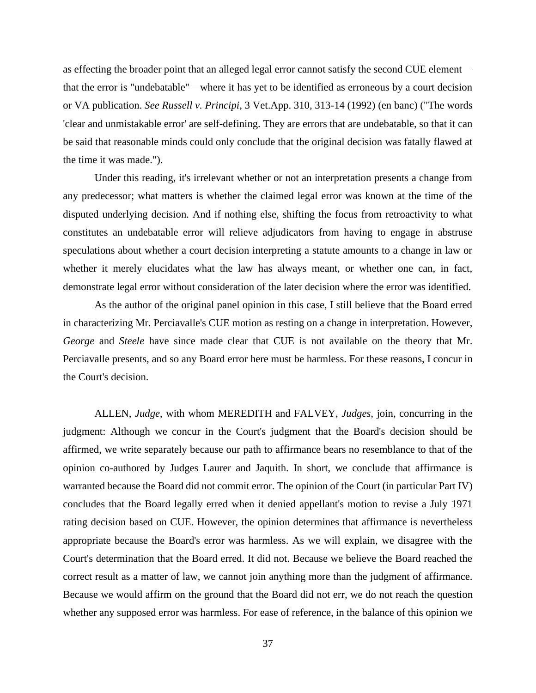as effecting the broader point that an alleged legal error cannot satisfy the second CUE element that the error is "undebatable"—where it has yet to be identified as erroneous by a court decision or VA publication. *See Russell v. Principi*, 3 Vet.App. 310, 313-14 (1992) (en banc) ("The words 'clear and unmistakable error' are self-defining. They are errors that are undebatable, so that it can be said that reasonable minds could only conclude that the original decision was fatally flawed at the time it was made.").

Under this reading, it's irrelevant whether or not an interpretation presents a change from any predecessor; what matters is whether the claimed legal error was known at the time of the disputed underlying decision. And if nothing else, shifting the focus from retroactivity to what constitutes an undebatable error will relieve adjudicators from having to engage in abstruse speculations about whether a court decision interpreting a statute amounts to a change in law or whether it merely elucidates what the law has always meant, or whether one can, in fact, demonstrate legal error without consideration of the later decision where the error was identified.

As the author of the original panel opinion in this case, I still believe that the Board erred in characterizing Mr. Perciavalle's CUE motion as resting on a change in interpretation. However, *George* and *Steele* have since made clear that CUE is not available on the theory that Mr. Perciavalle presents, and so any Board error here must be harmless. For these reasons, I concur in the Court's decision.

ALLEN, *Judge*, with whom MEREDITH and FALVEY, *Judges*, join, concurring in the judgment: Although we concur in the Court's judgment that the Board's decision should be affirmed, we write separately because our path to affirmance bears no resemblance to that of the opinion co-authored by Judges Laurer and Jaquith. In short, we conclude that affirmance is warranted because the Board did not commit error. The opinion of the Court (in particular Part IV) concludes that the Board legally erred when it denied appellant's motion to revise a July 1971 rating decision based on CUE. However, the opinion determines that affirmance is nevertheless appropriate because the Board's error was harmless. As we will explain, we disagree with the Court's determination that the Board erred. It did not. Because we believe the Board reached the correct result as a matter of law, we cannot join anything more than the judgment of affirmance. Because we would affirm on the ground that the Board did not err, we do not reach the question whether any supposed error was harmless. For ease of reference, in the balance of this opinion we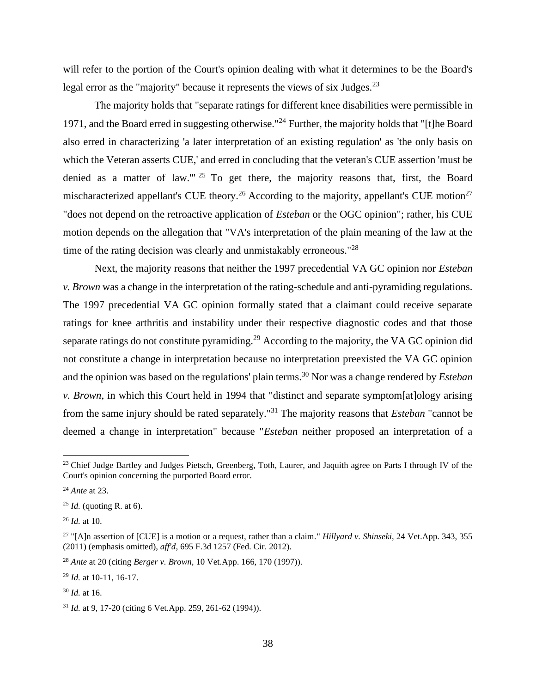will refer to the portion of the Court's opinion dealing with what it determines to be the Board's legal error as the "majority" because it represents the views of six Judges.<sup>23</sup>

The majority holds that "separate ratings for different knee disabilities were permissible in 1971, and the Board erred in suggesting otherwise."<sup>24</sup> Further, the majority holds that "[t]he Board also erred in characterizing 'a later interpretation of an existing regulation' as 'the only basis on which the Veteran asserts CUE,' and erred in concluding that the veteran's CUE assertion 'must be denied as a matter of law."<sup>25</sup> To get there, the majority reasons that, first, the Board mischaracterized appellant's CUE theory.<sup>26</sup> According to the majority, appellant's CUE motion<sup>27</sup> "does not depend on the retroactive application of *Esteban* or the OGC opinion"; rather, his CUE motion depends on the allegation that "VA's interpretation of the plain meaning of the law at the time of the rating decision was clearly and unmistakably erroneous."<sup>28</sup>

Next, the majority reasons that neither the 1997 precedential VA GC opinion nor *Esteban v. Brown* was a change in the interpretation of the rating-schedule and anti-pyramiding regulations. The 1997 precedential VA GC opinion formally stated that a claimant could receive separate ratings for knee arthritis and instability under their respective diagnostic codes and that those separate ratings do not constitute pyramiding.<sup>29</sup> According to the majority, the VA GC opinion did not constitute a change in interpretation because no interpretation preexisted the VA GC opinion and the opinion was based on the regulations' plain terms.<sup>30</sup> Nor was a change rendered by *Esteban v. Brown*, in which this Court held in 1994 that "distinct and separate symptom[at]ology arising from the same injury should be rated separately."<sup>31</sup> The majority reasons that *Esteban* "cannot be deemed a change in interpretation" because "*Esteban* neither proposed an interpretation of a

<sup>28</sup> *Ante* at 20 (citing *Berger v. Brown*, 10 Vet.App. 166, 170 (1997)).

<sup>29</sup> *Id.* at 10-11, 16-17.

<sup>&</sup>lt;sup>23</sup> Chief Judge Bartley and Judges Pietsch, Greenberg, Toth, Laurer, and Jaquith agree on Parts I through IV of the Court's opinion concerning the purported Board error.

<sup>24</sup> *Ante* at 23.

<sup>25</sup> *Id.* (quoting R. at 6).

<sup>26</sup> *Id.* at 10.

<sup>27</sup> "[A]n assertion of [CUE] is a motion or a request, rather than a claim." *Hillyard v. Shinseki*, 24 Vet.App. 343, 355 (2011) (emphasis omitted), *aff'd*, 695 F.3d 1257 (Fed. Cir. 2012).

<sup>30</sup> *Id.* at 16.

<sup>31</sup> *Id.* at 9, 17-20 (citing 6 Vet.App. 259, 261-62 (1994)).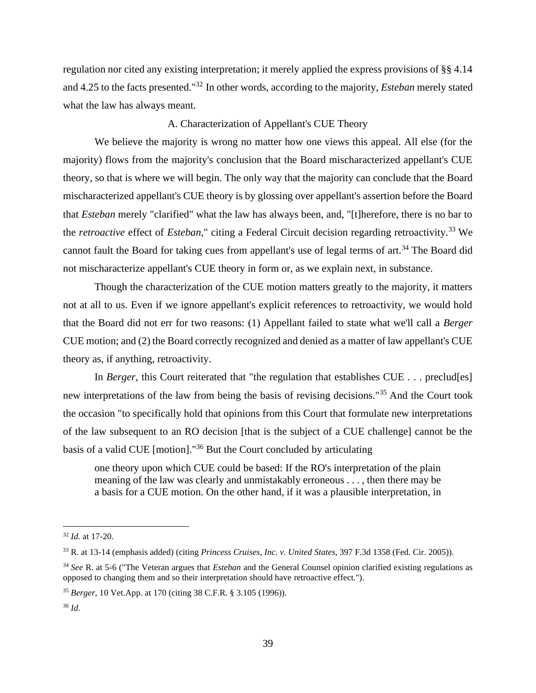regulation nor cited any existing interpretation; it merely applied the express provisions of §§ 4.14 and 4.25 to the facts presented."<sup>32</sup> In other words, according to the majority, *Esteban* merely stated what the law has always meant.

### A. Characterization of Appellant's CUE Theory

We believe the majority is wrong no matter how one views this appeal. All else (for the majority) flows from the majority's conclusion that the Board mischaracterized appellant's CUE theory, so that is where we will begin. The only way that the majority can conclude that the Board mischaracterized appellant's CUE theory is by glossing over appellant's assertion before the Board that *Esteban* merely "clarified" what the law has always been, and, "[t]herefore, there is no bar to the *retroactive* effect of *Esteban*," citing a Federal Circuit decision regarding retroactivity.<sup>33</sup> We cannot fault the Board for taking cues from appellant's use of legal terms of art.<sup>34</sup> The Board did not mischaracterize appellant's CUE theory in form or, as we explain next, in substance.

Though the characterization of the CUE motion matters greatly to the majority, it matters not at all to us. Even if we ignore appellant's explicit references to retroactivity, we would hold that the Board did not err for two reasons: (1) Appellant failed to state what we'll call a *Berger* CUE motion; and (2) the Board correctly recognized and denied as a matter of law appellant's CUE theory as, if anything, retroactivity.

In *Berger*, this Court reiterated that "the regulation that establishes CUE . . . preclud[es] new interpretations of the law from being the basis of revising decisions."<sup>35</sup> And the Court took the occasion "to specifically hold that opinions from this Court that formulate new interpretations of the law subsequent to an RO decision [that is the subject of a CUE challenge] cannot be the basis of a valid CUE [motion]."<sup>36</sup> But the Court concluded by articulating

one theory upon which CUE could be based: If the RO's interpretation of the plain meaning of the law was clearly and unmistakably erroneous . . . , then there may be a basis for a CUE motion. On the other hand, if it was a plausible interpretation, in

<sup>32</sup> *Id.* at 17-20.

<sup>33</sup> R. at 13-14 (emphasis added) (citing *Princess Cruises, Inc. v. United States*, 397 F.3d 1358 (Fed. Cir. 2005)).

<sup>34</sup> *See* R. at 5-6 ("The Veteran argues that *Esteban* and the General Counsel opinion clarified existing regulations as opposed to changing them and so their interpretation should have retroactive effect.").

<sup>35</sup> *Berger*, 10 Vet.App. at 170 (citing 38 C.F.R. § 3.105 (1996)).

<sup>36</sup> *Id.*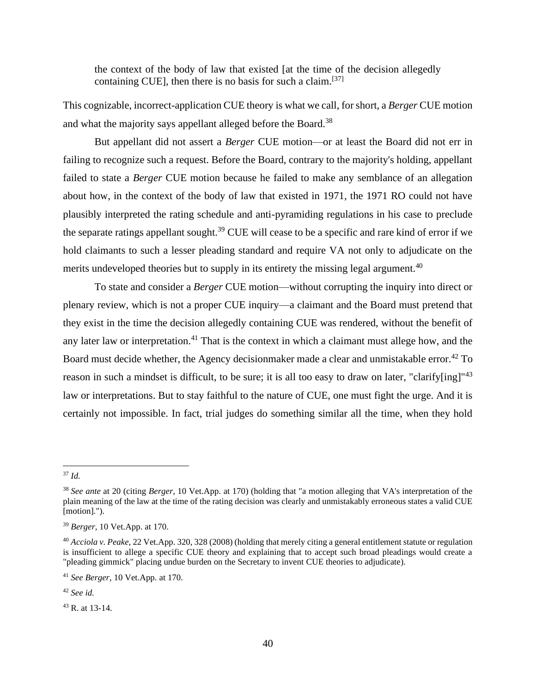the context of the body of law that existed [at the time of the decision allegedly containing CUE], then there is no basis for such a claim.<sup>[37]</sup>

This cognizable, incorrect-application CUE theory is what we call, for short, a *Berger* CUE motion and what the majority says appellant alleged before the Board.<sup>38</sup>

But appellant did not assert a *Berger* CUE motion—or at least the Board did not err in failing to recognize such a request. Before the Board, contrary to the majority's holding, appellant failed to state a *Berger* CUE motion because he failed to make any semblance of an allegation about how, in the context of the body of law that existed in 1971, the 1971 RO could not have plausibly interpreted the rating schedule and anti-pyramiding regulations in his case to preclude the separate ratings appellant sought.<sup>39</sup> CUE will cease to be a specific and rare kind of error if we hold claimants to such a lesser pleading standard and require VA not only to adjudicate on the merits undeveloped theories but to supply in its entirety the missing legal argument.<sup>40</sup>

To state and consider a *Berger* CUE motion—without corrupting the inquiry into direct or plenary review, which is not a proper CUE inquiry—a claimant and the Board must pretend that they exist in the time the decision allegedly containing CUE was rendered, without the benefit of any later law or interpretation.<sup>41</sup> That is the context in which a claimant must allege how, and the Board must decide whether, the Agency decisionmaker made a clear and unmistakable error.<sup>42</sup> To reason in such a mindset is difficult, to be sure; it is all too easy to draw on later, "clarify[ing]"<sup>43</sup> law or interpretations. But to stay faithful to the nature of CUE, one must fight the urge. And it is certainly not impossible. In fact, trial judges do something similar all the time, when they hold

<sup>37</sup> *Id.*

<sup>38</sup> *See ante* at 20 (citing *Berger*, 10 Vet.App. at 170) (holding that "a motion alleging that VA's interpretation of the plain meaning of the law at the time of the rating decision was clearly and unmistakably erroneous states a valid CUE [motion].").

<sup>39</sup> *Berger*, 10 Vet.App. at 170.

<sup>40</sup> *Acciola v. Peake*, 22 Vet.App. 320, 328 (2008) (holding that merely citing a general entitlement statute or regulation is insufficient to allege a specific CUE theory and explaining that to accept such broad pleadings would create a "pleading gimmick" placing undue burden on the Secretary to invent CUE theories to adjudicate).

<sup>41</sup> *See Berger*, 10 Vet.App. at 170.

<sup>42</sup> *See id.*

<sup>43</sup> R. at 13-14.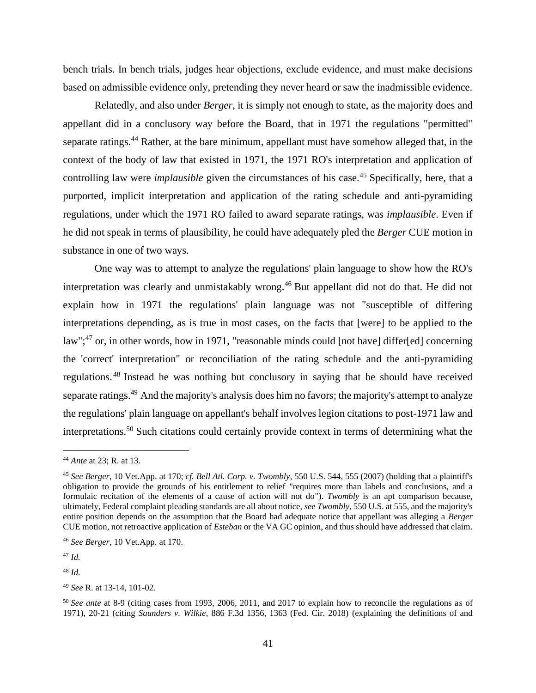bench trials. In bench trials, judges hear objections, exclude evidence, and must make decisions based on admissible evidence only, pretending they never heard or saw the inadmissible evidence.

Relatedly, and also under *Berger*, it is simply not enough to state, as the majority does and appellant did in a conclusory way before the Board, that in 1971 the regulations "permitted" separate ratings.<sup>44</sup> Rather, at the bare minimum, appellant must have somehow alleged that, in the context of the body of law that existed in 1971, the 1971 RO's interpretation and application of controlling law were *implausible* given the circumstances of his case.<sup>45</sup> Specifically, here, that a purported, implicit interpretation and application of the rating schedule and anti-pyramiding regulations, under which the 1971 RO failed to award separate ratings, was *implausible*. Even if he did not speak in terms of plausibility, he could have adequately pled the *Berger* CUE motion in substance in one of two ways.

One way was to attempt to analyze the regulations' plain language to show how the RO's interpretation was clearly and unmistakably wrong.<sup>46</sup> But appellant did not do that. He did not explain how in 1971 the regulations' plain language was not "susceptible of differing interpretations depending, as is true in most cases, on the facts that [were] to be applied to the law";<sup>47</sup> or, in other words, how in 1971, "reasonable minds could [not have] differ[ed] concerning the 'correct' interpretation" or reconciliation of the rating schedule and the anti-pyramiding regulations. <sup>48</sup> Instead he was nothing but conclusory in saying that he should have received separate ratings.<sup>49</sup> And the majority's analysis does him no favors; the majority's attempt to analyze the regulations' plain language on appellant's behalf involves legion citations to post-1971 law and interpretations.<sup>50</sup> Such citations could certainly provide context in terms of determining what the

<sup>47</sup> *Id.*

<sup>48</sup> *Id.*

<sup>49</sup> *See* R. at 13-14, 101-02.

<sup>44</sup> *Ante* at 23; R. at 13.

<sup>45</sup> *See Berger*, 10 Vet.App. at 170; *cf. Bell Atl. Corp. v. Twombly*, 550 U.S. 544, 555 (2007) (holding that a plaintiff's obligation to provide the grounds of his entitlement to relief "requires more than labels and conclusions, and a formulaic recitation of the elements of a cause of action will not do"). *Twombly* is an apt comparison because, ultimately, Federal complaint pleading standards are all about notice, *see Twombly*, 550 U.S. at 555, and the majority's entire position depends on the assumption that the Board had adequate notice that appellant was alleging a *Berger* CUE motion, not retroactive application of *Esteban* or the VA GC opinion, and thus should have addressed that claim.

<sup>46</sup> *See Berger*, 10 Vet.App. at 170.

<sup>50</sup> *See ante* at 8-9 (citing cases from 1993, 2006, 2011, and 2017 to explain how to reconcile the regulations as of 1971), 20-21 (citing *Saunders v. Wilkie*, 886 F.3d 1356, 1363 (Fed. Cir. 2018) (explaining the definitions of and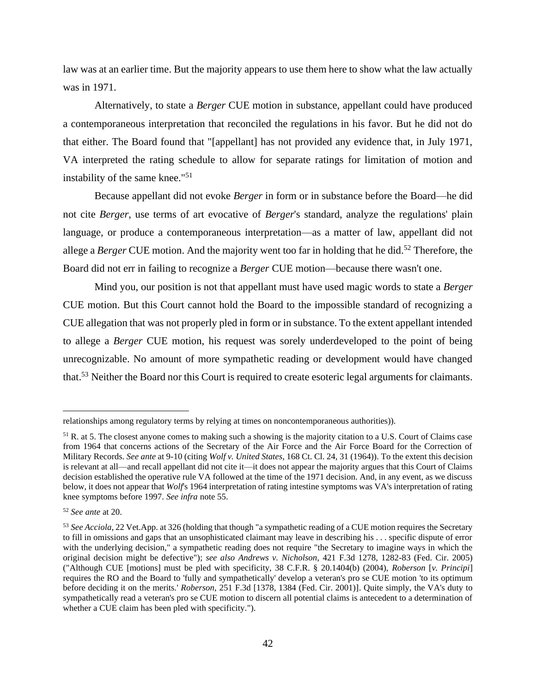law was at an earlier time. But the majority appears to use them here to show what the law actually was in 1971.

Alternatively, to state a *Berger* CUE motion in substance, appellant could have produced a contemporaneous interpretation that reconciled the regulations in his favor. But he did not do that either. The Board found that "[appellant] has not provided any evidence that, in July 1971, VA interpreted the rating schedule to allow for separate ratings for limitation of motion and instability of the same knee."<sup>51</sup>

Because appellant did not evoke *Berger* in form or in substance before the Board—he did not cite *Berger*, use terms of art evocative of *Berger*'s standard, analyze the regulations' plain language, or produce a contemporaneous interpretation—as a matter of law, appellant did not allege a *Berger* CUE motion. And the majority went too far in holding that he did.<sup>52</sup> Therefore, the Board did not err in failing to recognize a *Berger* CUE motion—because there wasn't one.

Mind you, our position is not that appellant must have used magic words to state a *Berger* CUE motion. But this Court cannot hold the Board to the impossible standard of recognizing a CUE allegation that was not properly pled in form or in substance. To the extent appellant intended to allege a *Berger* CUE motion, his request was sorely underdeveloped to the point of being unrecognizable. No amount of more sympathetic reading or development would have changed that.<sup>53</sup> Neither the Board nor this Court is required to create esoteric legal arguments for claimants.

relationships among regulatory terms by relying at times on noncontemporaneous authorities)).

<sup>&</sup>lt;sup>51</sup> R. at 5. The closest anyone comes to making such a showing is the majority citation to a U.S. Court of Claims case from 1964 that concerns actions of the Secretary of the Air Force and the Air Force Board for the Correction of Military Records. *See ante* at 9-10 (citing *Wolf v. United States*, 168 Ct. Cl. 24, 31 (1964)). To the extent this decision is relevant at all—and recall appellant did not cite it—it does not appear the majority argues that this Court of Claims decision established the operative rule VA followed at the time of the 1971 decision. And, in any event, as we discuss below, it does not appear that *Wolf*'s 1964 interpretation of rating intestine symptoms was VA's interpretation of rating knee symptoms before 1997. *See infra* note 55.

<sup>52</sup> *See ante* at 20.

<sup>53</sup> *See Acciola*, 22 Vet.App. at 326 (holding that though "a sympathetic reading of a CUE motion requires the Secretary to fill in omissions and gaps that an unsophisticated claimant may leave in describing his . . . specific dispute of error with the underlying decision," a sympathetic reading does not require "the Secretary to imagine ways in which the original decision might be defective"); *see also Andrews v. Nicholson*, 421 F.3d 1278, 1282-83 (Fed. Cir. 2005) ("Although CUE [motions] must be pled with specificity, 38 C.F.R. § 20.1404(b) (2004), *Roberson* [*v. Principi*] requires the RO and the Board to 'fully and sympathetically' develop a veteran's pro se CUE motion 'to its optimum before deciding it on the merits.' *Roberson*, 251 F.3d [1378, 1384 (Fed. Cir. 2001)]. Quite simply, the VA's duty to sympathetically read a veteran's pro se CUE motion to discern all potential claims is antecedent to a determination of whether a CUE claim has been pled with specificity.").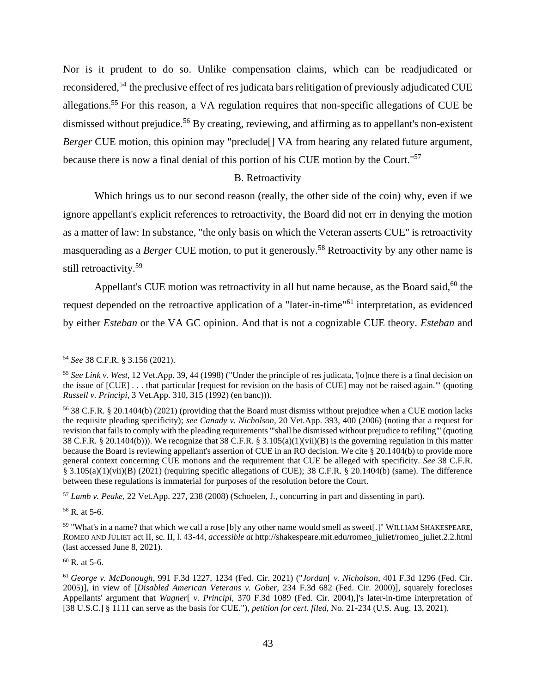Nor is it prudent to do so. Unlike compensation claims, which can be readjudicated or reconsidered,<sup>54</sup> the preclusive effect of res judicata bars relitigation of previously adjudicated CUE allegations.<sup>55</sup> For this reason, a VA regulation requires that non-specific allegations of CUE be dismissed without prejudice.<sup>56</sup> By creating, reviewing, and affirming as to appellant's non-existent *Berger* CUE motion, this opinion may "preclude<sup>[]</sup> VA from hearing any related future argument, because there is now a final denial of this portion of his CUE motion by the Court."<sup>57</sup>

# B. Retroactivity

Which brings us to our second reason (really, the other side of the coin) why, even if we ignore appellant's explicit references to retroactivity, the Board did not err in denying the motion as a matter of law: In substance, "the only basis on which the Veteran asserts CUE" is retroactivity masquerading as a *Berger* CUE motion, to put it generously.<sup>58</sup> Retroactivity by any other name is still retroactivity.<sup>59</sup>

Appellant's CUE motion was retroactivity in all but name because, as the Board said,  $60$  the request depended on the retroactive application of a "later-in-time"<sup>61</sup> interpretation, as evidenced by either *Esteban* or the VA GC opinion. And that is not a cognizable CUE theory. *Esteban* and

<sup>57</sup> *Lamb v. Peake*, 22 Vet.App. 227, 238 (2008) (Schoelen, J., concurring in part and dissenting in part).

 $58$  R. at 5-6.

 $60$  R. at 5-6.

<sup>54</sup> *See* 38 C.F.R. § 3.156 (2021).

<sup>55</sup> *See Link v. West*, 12 Vet.App. 39, 44 (1998) ("Under the principle of res judicata, '[o]nce there is a final decision on the issue of [CUE] . . . that particular [request for revision on the basis of CUE] may not be raised again.'" (quoting *Russell v. Principi*, 3 Vet.App. 310, 315 (1992) (en banc))).

<sup>56</sup> 38 C.F.R. § 20.1404(b) (2021) (providing that the Board must dismiss without prejudice when a CUE motion lacks the requisite pleading specificity); *see Canady v. Nicholson*, 20 Vet.App. 393, 400 (2006) (noting that a request for revision that fails to comply with the pleading requirements "'shall be dismissed without prejudice to refiling'" (quoting 38 C.F.R. § 20.1404(b))). We recognize that 38 C.F.R. § 3.105(a)(1)(vii)(B) is the governing regulation in this matter because the Board is reviewing appellant's assertion of CUE in an RO decision. We cite § 20.1404(b) to provide more general context concerning CUE motions and the requirement that CUE be alleged with specificity. *See* 38 C.F.R. § 3.105(a)(1)(vii)(B) (2021) (requiring specific allegations of CUE); 38 C.F.R. § 20.1404(b) (same). The difference between these regulations is immaterial for purposes of the resolution before the Court.

<sup>&</sup>lt;sup>59</sup> "What's in a name? that which we call a rose [b]y any other name would smell as sweet[.]" WILLIAM SHAKESPEARE, ROMEO AND JULIET act II, sc. II, l. 43-44, *accessible at* http://shakespeare.mit.edu/romeo\_juliet/romeo\_juliet.2.2.html (last accessed June 8, 2021).

<sup>61</sup> *George v. McDonough*, 991 F.3d 1227, 1234 (Fed. Cir. 2021) ("*Jordan*[ *v. Nicholson*, 401 F.3d 1296 (Fed. Cir. 2005)], in view of [*Disabled American Veterans v. Gober*, 234 F.3d 682 (Fed. Cir. 2000)], squarely forecloses Appellants' argument that *Wagner*[ *v. Principi*, 370 F.3d 1089 (Fed. Cir. 2004),]'s later-in-time interpretation of [38 U.S.C.] § 1111 can serve as the basis for CUE."), *petition for cert. filed*, No. 21-234 (U.S. Aug. 13, 2021).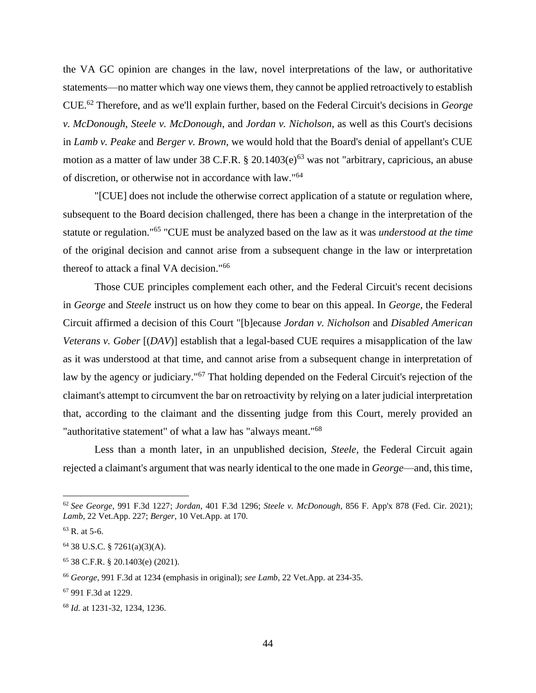the VA GC opinion are changes in the law, novel interpretations of the law, or authoritative statements—no matter which way one views them, they cannot be applied retroactively to establish CUE.<sup>62</sup> Therefore, and as we'll explain further, based on the Federal Circuit's decisions in *George v. McDonough*, *Steele v. McDonough*, and *Jordan v. Nicholson*, as well as this Court's decisions in *Lamb v. Peake* and *Berger v. Brown*, we would hold that the Board's denial of appellant's CUE motion as a matter of law under 38 C.F.R.  $\S 20.1403(e)^{63}$  was not "arbitrary, capricious, an abuse of discretion, or otherwise not in accordance with law."<sup>64</sup>

"[CUE] does not include the otherwise correct application of a statute or regulation where, subsequent to the Board decision challenged, there has been a change in the interpretation of the statute or regulation."<sup>65</sup> "CUE must be analyzed based on the law as it was *understood at the time* of the original decision and cannot arise from a subsequent change in the law or interpretation thereof to attack a final VA decision."<sup>66</sup>

Those CUE principles complement each other, and the Federal Circuit's recent decisions in *George* and *Steele* instruct us on how they come to bear on this appeal. In *George*, the Federal Circuit affirmed a decision of this Court "[b]ecause *Jordan v. Nicholson* and *Disabled American Veterans v. Gober* [(*DAV*)] establish that a legal-based CUE requires a misapplication of the law as it was understood at that time, and cannot arise from a subsequent change in interpretation of law by the agency or judiciary."<sup>67</sup> That holding depended on the Federal Circuit's rejection of the claimant's attempt to circumvent the bar on retroactivity by relying on a later judicial interpretation that, according to the claimant and the dissenting judge from this Court, merely provided an "authoritative statement" of what a law has "always meant."<sup>68</sup>

Less than a month later, in an unpublished decision, *Steele*, the Federal Circuit again rejected a claimant's argument that was nearly identical to the one made in *George*—and, this time,

<sup>62</sup> *See George*, 991 F.3d 1227; *Jordan*, 401 F.3d 1296; *Steele v. McDonough*, 856 F. App'x 878 (Fed. Cir. 2021); *Lamb*, 22 Vet.App. 227; *Berger*, 10 Vet.App. at 170.

 $63$  R. at 5-6.

<sup>64</sup> 38 U.S.C. § 7261(a)(3)(A).

<sup>65</sup> 38 C.F.R. § 20.1403(e) (2021).

<sup>66</sup> *George*, 991 F.3d at 1234 (emphasis in original); *see Lamb*, 22 Vet.App. at 234-35.

<sup>67</sup> 991 F.3d at 1229.

<sup>68</sup> *Id.* at 1231-32, 1234, 1236.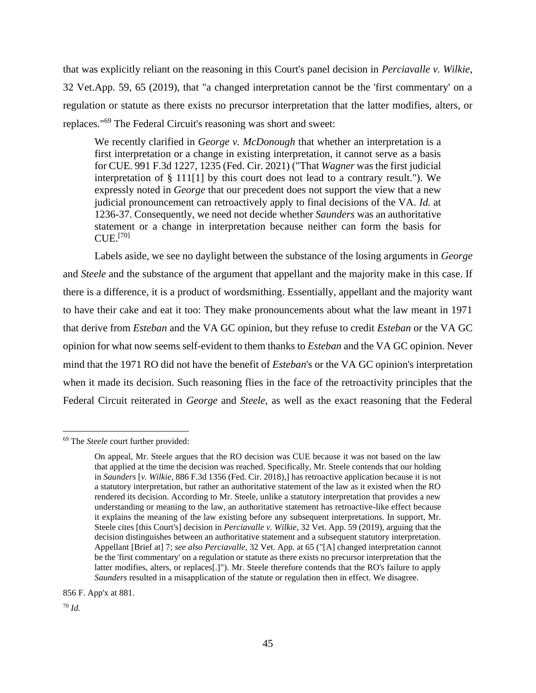that was explicitly reliant on the reasoning in this Court's panel decision in *Perciavalle v. Wilkie*, 32 Vet.App. 59, 65 (2019), that "a changed interpretation cannot be the 'first commentary' on a regulation or statute as there exists no precursor interpretation that the latter modifies, alters, or replaces."<sup>69</sup> The Federal Circuit's reasoning was short and sweet:

We recently clarified in *George v. McDonough* that whether an interpretation is a first interpretation or a change in existing interpretation, it cannot serve as a basis for CUE. 991 F.3d 1227, 1235 (Fed. Cir. 2021) ("That *Wagner* was the first judicial interpretation of § 111[1] by this court does not lead to a contrary result."). We expressly noted in *George* that our precedent does not support the view that a new judicial pronouncement can retroactively apply to final decisions of the VA. *Id.* at 1236-37. Consequently, we need not decide whether *Saunders* was an authoritative statement or a change in interpretation because neither can form the basis for  $CUE.$ <sup>[70]</sup>

Labels aside, we see no daylight between the substance of the losing arguments in *George* and *Steele* and the substance of the argument that appellant and the majority make in this case. If there is a difference, it is a product of wordsmithing. Essentially, appellant and the majority want to have their cake and eat it too: They make pronouncements about what the law meant in 1971 that derive from *Esteban* and the VA GC opinion, but they refuse to credit *Esteban* or the VA GC opinion for what now seems self-evident to them thanks to *Esteban* and the VA GC opinion. Never mind that the 1971 RO did not have the benefit of *Esteban*'s or the VA GC opinion's interpretation when it made its decision. Such reasoning flies in the face of the retroactivity principles that the Federal Circuit reiterated in *George* and *Steele*, as well as the exact reasoning that the Federal

856 F. App'x at 881.

<sup>70</sup> *Id.*

<sup>69</sup> The *Steele* court further provided:

On appeal, Mr. Steele argues that the RO decision was CUE because it was not based on the law that applied at the time the decision was reached. Specifically, Mr. Steele contends that our holding in *Saunders* [*v. Wilkie*, 886 F.3d 1356 (Fed. Cir. 2018),] has retroactive application because it is not a statutory interpretation, but rather an authoritative statement of the law as it existed when the RO rendered its decision. According to Mr. Steele, unlike a statutory interpretation that provides a new understanding or meaning to the law, an authoritative statement has retroactive-like effect because it explains the meaning of the law existing before any subsequent interpretations. In support, Mr. Steele cites [this Court's] decision in *Perciavalle v. Wilkie*, 32 Vet. App. 59 (2019), arguing that the decision distinguishes between an authoritative statement and a subsequent statutory interpretation. Appellant [Brief at] 7; *see also Perciavalle*, 32 Vet. App. at 65 ("[A] changed interpretation cannot be the 'first commentary' on a regulation or statute as there exists no precursor interpretation that the latter modifies, alters, or replaces[.]"). Mr. Steele therefore contends that the RO's failure to apply *Saunders* resulted in a misapplication of the statute or regulation then in effect. We disagree.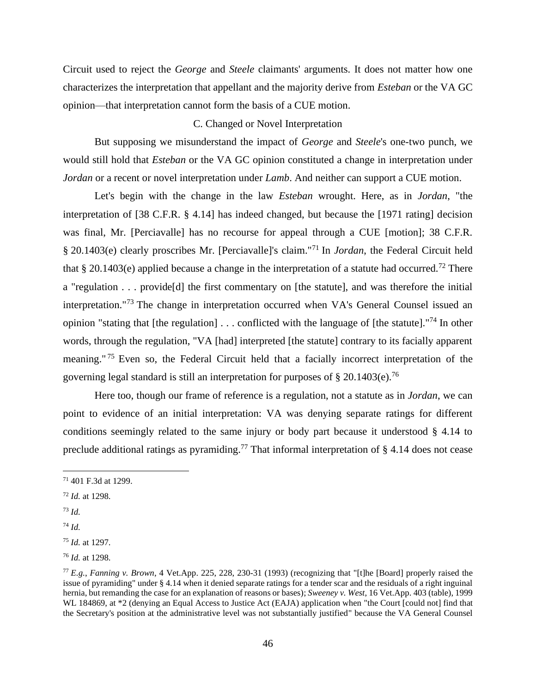Circuit used to reject the *George* and *Steele* claimants' arguments. It does not matter how one characterizes the interpretation that appellant and the majority derive from *Esteban* or the VA GC opinion—that interpretation cannot form the basis of a CUE motion.

# C. Changed or Novel Interpretation

But supposing we misunderstand the impact of *George* and *Steele*'s one-two punch, we would still hold that *Esteban* or the VA GC opinion constituted a change in interpretation under *Jordan* or a recent or novel interpretation under *Lamb*. And neither can support a CUE motion.

Let's begin with the change in the law *Esteban* wrought. Here, as in *Jordan*, "the interpretation of [38 C.F.R. § 4.14] has indeed changed, but because the [1971 rating] decision was final, Mr. [Perciavalle] has no recourse for appeal through a CUE [motion]; 38 C.F.R. § 20.1403(e) clearly proscribes Mr. [Perciavalle]'s claim."<sup>71</sup> In *Jordan*, the Federal Circuit held that § 20.1403(e) applied because a change in the interpretation of a statute had occurred.<sup>72</sup> There a "regulation . . . provide[d] the first commentary on [the statute], and was therefore the initial interpretation."<sup>73</sup> The change in interpretation occurred when VA's General Counsel issued an opinion "stating that [the regulation] . . . conflicted with the language of [the statute]."<sup>74</sup> In other words, through the regulation, "VA [had] interpreted [the statute] contrary to its facially apparent meaning." <sup>75</sup> Even so, the Federal Circuit held that a facially incorrect interpretation of the governing legal standard is still an interpretation for purposes of  $\S 20.1403(e).$ <sup>76</sup>

Here too, though our frame of reference is a regulation, not a statute as in *Jordan*, we can point to evidence of an initial interpretation: VA was denying separate ratings for different conditions seemingly related to the same injury or body part because it understood § 4.14 to preclude additional ratings as pyramiding.<sup>77</sup> That informal interpretation of § 4.14 does not cease

- <sup>72</sup> *Id.* at 1298.
- <sup>73</sup> *Id.*
- <sup>74</sup> *Id.*

<sup>71</sup> 401 F.3d at 1299.

<sup>75</sup> *Id.* at 1297.

<sup>76</sup> *Id.* at 1298.

<sup>77</sup> *E.g.*, *Fanning v. Brown*, 4 Vet.App. 225, 228, 230-31 (1993) (recognizing that "[t]he [Board] properly raised the issue of pyramiding" under § 4.14 when it denied separate ratings for a tender scar and the residuals of a right inguinal hernia, but remanding the case for an explanation of reasons or bases); *Sweeney v. West*, 16 Vet.App. 403 (table), 1999 WL 184869, at  $*2$  (denying an Equal Access to Justice Act (EAJA) application when "the Court [could not] find that the Secretary's position at the administrative level was not substantially justified" because the VA General Counsel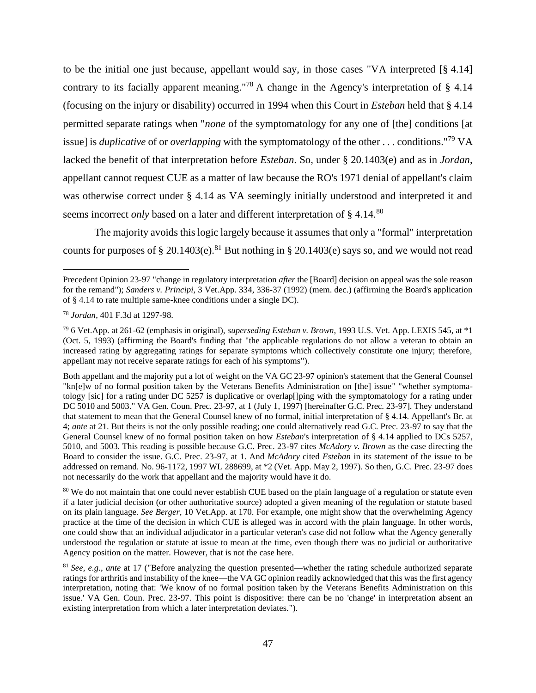to be the initial one just because, appellant would say, in those cases "VA interpreted [§ 4.14] contrary to its facially apparent meaning."<sup>78</sup> A change in the Agency's interpretation of § 4.14 (focusing on the injury or disability) occurred in 1994 when this Court in *Esteban* held that § 4.14 permitted separate ratings when "*none* of the symptomatology for any one of [the] conditions [at issue] is *duplicative* of or *overlapping* with the symptomatology of the other . . . conditions."<sup>79</sup> VA lacked the benefit of that interpretation before *Esteban*. So, under § 20.1403(e) and as in *Jordan*, appellant cannot request CUE as a matter of law because the RO's 1971 denial of appellant's claim was otherwise correct under § 4.14 as VA seemingly initially understood and interpreted it and seems incorrect *only* based on a later and different interpretation of § 4.14.<sup>80</sup>

The majority avoids this logic largely because it assumes that only a "formal" interpretation counts for purposes of § 20.1403(e).<sup>81</sup> But nothing in § 20.1403(e) says so, and we would not read

<sup>80</sup> We do not maintain that one could never establish CUE based on the plain language of a regulation or statute even if a later judicial decision (or other authoritative source) adopted a given meaning of the regulation or statute based on its plain language. *See Berger*, 10 Vet.App. at 170. For example, one might show that the overwhelming Agency practice at the time of the decision in which CUE is alleged was in accord with the plain language. In other words, one could show that an individual adjudicator in a particular veteran's case did not follow what the Agency generally understood the regulation or statute at issue to mean at the time, even though there was no judicial or authoritative Agency position on the matter. However, that is not the case here.

<sup>81</sup> *See, e.g.*, *ante* at 17 ("Before analyzing the question presented—whether the rating schedule authorized separate ratings for arthritis and instability of the knee—the VA GC opinion readily acknowledged that this was the first agency interpretation, noting that: 'We know of no formal position taken by the Veterans Benefits Administration on this issue.' VA Gen. Coun. Prec. 23-97. This point is dispositive: there can be no 'change' in interpretation absent an existing interpretation from which a later interpretation deviates.").

Precedent Opinion 23-97 "change in regulatory interpretation *after* the [Board] decision on appeal was the sole reason for the remand"); *Sanders v. Principi*, 3 Vet.App. 334, 336-37 (1992) (mem. dec.) (affirming the Board's application of § 4.14 to rate multiple same-knee conditions under a single DC).

<sup>78</sup> *Jordan*, 401 F.3d at 1297-98.

<sup>79</sup> 6 Vet.App. at 261-62 (emphasis in original), *superseding Esteban v. Brown*, 1993 U.S. Vet. App. LEXIS 545, at \*1 (Oct. 5, 1993) (affirming the Board's finding that "the applicable regulations do not allow a veteran to obtain an increased rating by aggregating ratings for separate symptoms which collectively constitute one injury; therefore, appellant may not receive separate ratings for each of his symptoms").

Both appellant and the majority put a lot of weight on the VA GC 23-97 opinion's statement that the General Counsel "kn[e]w of no formal position taken by the Veterans Benefits Administration on [the] issue" "whether symptomatology [sic] for a rating under DC 5257 is duplicative or overlap[]ping with the symptomatology for a rating under DC 5010 and 5003." VA Gen. Coun. Prec. 23-97, at 1 (July 1, 1997) [hereinafter G.C. Prec. 23-97]. They understand that statement to mean that the General Counsel knew of no formal, initial interpretation of § 4.14. Appellant's Br. at 4; *ante* at 21. But theirs is not the only possible reading; one could alternatively read G.C. Prec. 23-97 to say that the General Counsel knew of no formal position taken on how *Esteban*'s interpretation of § 4.14 applied to DCs 5257, 5010, and 5003. This reading is possible because G.C. Prec. 23-97 cites *McAdory v. Brown* as the case directing the Board to consider the issue. G.C. Prec. 23-97, at 1. And *McAdory* cited *Esteban* in its statement of the issue to be addressed on remand. No. 96-1172, 1997 WL 288699, at \*2 (Vet. App. May 2, 1997). So then, G.C. Prec. 23-97 does not necessarily do the work that appellant and the majority would have it do.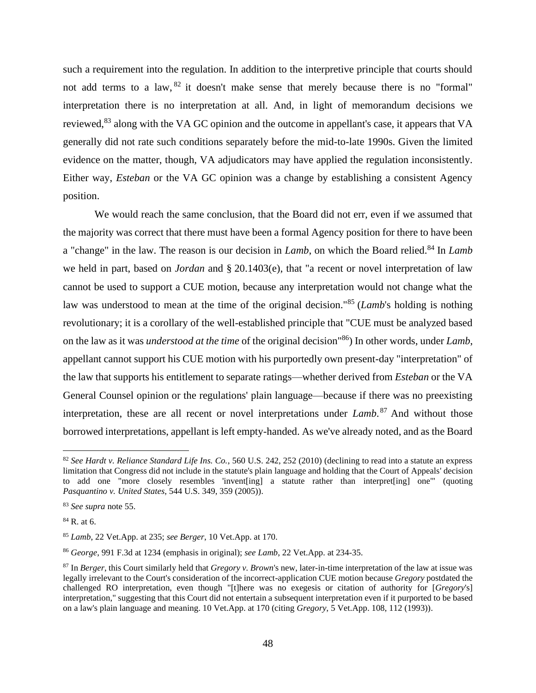such a requirement into the regulation. In addition to the interpretive principle that courts should not add terms to a law, <sup>82</sup> it doesn't make sense that merely because there is no "formal" interpretation there is no interpretation at all. And, in light of memorandum decisions we reviewed,<sup>83</sup> along with the VA GC opinion and the outcome in appellant's case, it appears that VA generally did not rate such conditions separately before the mid-to-late 1990s. Given the limited evidence on the matter, though, VA adjudicators may have applied the regulation inconsistently. Either way, *Esteban* or the VA GC opinion was a change by establishing a consistent Agency position.

We would reach the same conclusion, that the Board did not err, even if we assumed that the majority was correct that there must have been a formal Agency position for there to have been a "change" in the law. The reason is our decision in *Lamb*, on which the Board relied.<sup>84</sup> In *Lamb* we held in part, based on *Jordan* and § 20.1403(e), that "a recent or novel interpretation of law cannot be used to support a CUE motion, because any interpretation would not change what the law was understood to mean at the time of the original decision."<sup>85</sup> (*Lamb*'s holding is nothing revolutionary; it is a corollary of the well-established principle that "CUE must be analyzed based on the law as it was *understood at the time* of the original decision"<sup>86</sup>) In other words, under *Lamb*, appellant cannot support his CUE motion with his purportedly own present-day "interpretation" of the law that supports his entitlement to separate ratings—whether derived from *Esteban* or the VA General Counsel opinion or the regulations' plain language—because if there was no preexisting interpretation, these are all recent or novel interpretations under *Lamb*. <sup>87</sup> And without those borrowed interpretations, appellant is left empty-handed. As we've already noted, and as the Board

<sup>82</sup> *See Hardt v. Reliance Standard Life Ins. Co.*, 560 U.S. 242, 252 (2010) (declining to read into a statute an express limitation that Congress did not include in the statute's plain language and holding that the Court of Appeals' decision to add one "more closely resembles 'invent[ing] a statute rather than interpret[ing] one'" (quoting *Pasquantino v. United States*, 544 U.S. 349, 359 (2005)).

<sup>83</sup> *See supra* note 55.

 $84$  R. at 6.

<sup>85</sup> *Lamb*, 22 Vet.App. at 235; *see Berger*, 10 Vet.App. at 170.

<sup>86</sup> *George*, 991 F.3d at 1234 (emphasis in original); *see Lamb*, 22 Vet.App. at 234-35.

<sup>87</sup> In *Berger*, this Court similarly held that *Gregory v. Brown*'s new, later-in-time interpretation of the law at issue was legally irrelevant to the Court's consideration of the incorrect-application CUE motion because *Gregory* postdated the challenged RO interpretation, even though "[t]here was no exegesis or citation of authority for [*Gregory*'s] interpretation," suggesting that this Court did not entertain a subsequent interpretation even if it purported to be based on a law's plain language and meaning. 10 Vet.App. at 170 (citing *Gregory*, 5 Vet.App. 108, 112 (1993)).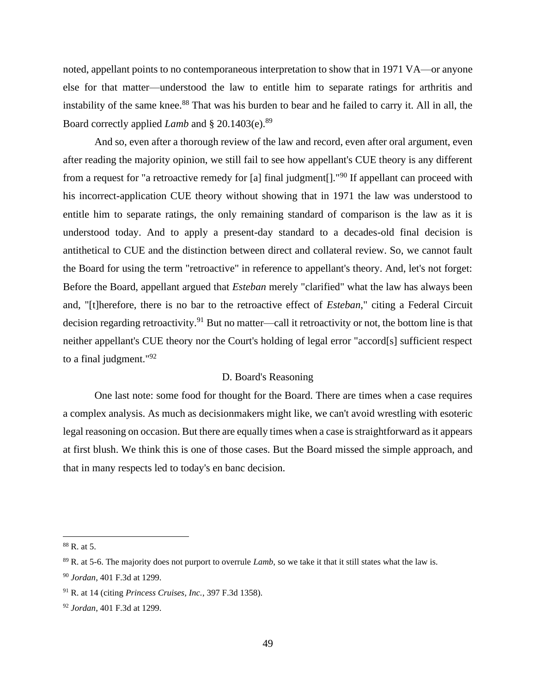noted, appellant points to no contemporaneous interpretation to show that in 1971 VA—or anyone else for that matter—understood the law to entitle him to separate ratings for arthritis and instability of the same knee.<sup>88</sup> That was his burden to bear and he failed to carry it. All in all, the Board correctly applied *Lamb* and § 20.1403(e).<sup>89</sup>

And so, even after a thorough review of the law and record, even after oral argument, even after reading the majority opinion, we still fail to see how appellant's CUE theory is any different from a request for "a retroactive remedy for [a] final judgment<sup>[1]</sup>. <sup>"90</sup> If appellant can proceed with his incorrect-application CUE theory without showing that in 1971 the law was understood to entitle him to separate ratings, the only remaining standard of comparison is the law as it is understood today. And to apply a present-day standard to a decades-old final decision is antithetical to CUE and the distinction between direct and collateral review. So, we cannot fault the Board for using the term "retroactive" in reference to appellant's theory. And, let's not forget: Before the Board, appellant argued that *Esteban* merely "clarified" what the law has always been and, "[t]herefore, there is no bar to the retroactive effect of *Esteban*," citing a Federal Circuit decision regarding retroactivity.<sup>91</sup> But no matter—call it retroactivity or not, the bottom line is that neither appellant's CUE theory nor the Court's holding of legal error "accord[s] sufficient respect to a final judgment." $92$ 

# D. Board's Reasoning

One last note: some food for thought for the Board. There are times when a case requires a complex analysis. As much as decisionmakers might like, we can't avoid wrestling with esoteric legal reasoning on occasion. But there are equally times when a case is straightforward as it appears at first blush. We think this is one of those cases. But the Board missed the simple approach, and that in many respects led to today's en banc decision.

<sup>88</sup> R. at 5.

<sup>89</sup> R. at 5-6. The majority does not purport to overrule *Lamb*, so we take it that it still states what the law is.

<sup>90</sup> *Jordan*, 401 F.3d at 1299.

<sup>91</sup> R. at 14 (citing *Princess Cruises, Inc.*, 397 F.3d 1358).

<sup>92</sup> *Jordan*, 401 F.3d at 1299.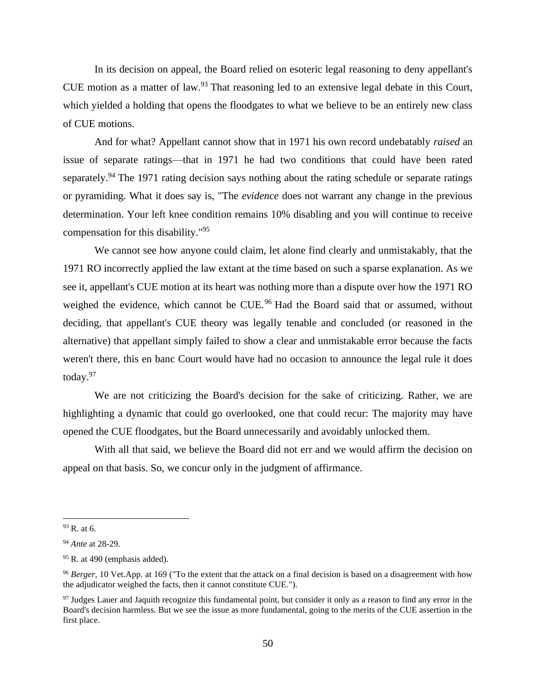In its decision on appeal, the Board relied on esoteric legal reasoning to deny appellant's CUE motion as a matter of law.<sup>93</sup> That reasoning led to an extensive legal debate in this Court, which yielded a holding that opens the floodgates to what we believe to be an entirely new class of CUE motions.

And for what? Appellant cannot show that in 1971 his own record undebatably *raised* an issue of separate ratings—that in 1971 he had two conditions that could have been rated separately.<sup>94</sup> The 1971 rating decision says nothing about the rating schedule or separate ratings or pyramiding. What it does say is, "The *evidence* does not warrant any change in the previous determination. Your left knee condition remains 10% disabling and you will continue to receive compensation for this disability."<sup>95</sup>

We cannot see how anyone could claim, let alone find clearly and unmistakably, that the 1971 RO incorrectly applied the law extant at the time based on such a sparse explanation. As we see it, appellant's CUE motion at its heart was nothing more than a dispute over how the 1971 RO weighed the evidence, which cannot be CUE.<sup>96</sup> Had the Board said that or assumed, without deciding, that appellant's CUE theory was legally tenable and concluded (or reasoned in the alternative) that appellant simply failed to show a clear and unmistakable error because the facts weren't there, this en banc Court would have had no occasion to announce the legal rule it does today.<sup>97</sup>

We are not criticizing the Board's decision for the sake of criticizing. Rather, we are highlighting a dynamic that could go overlooked, one that could recur: The majority may have opened the CUE floodgates, but the Board unnecessarily and avoidably unlocked them.

With all that said, we believe the Board did not err and we would affirm the decision on appeal on that basis. So, we concur only in the judgment of affirmance.

 $93$  R. at 6.

<sup>94</sup> *Ante* at 28-29.

 $95$  R. at 490 (emphasis added).

<sup>96</sup> *Berger*, 10 Vet.App. at 169 ("To the extent that the attack on a final decision is based on a disagreement with how the adjudicator weighed the facts, then it cannot constitute CUE.").

<sup>&</sup>lt;sup>97</sup> Judges Lauer and Jaquith recognize this fundamental point, but consider it only as a reason to find any error in the Board's decision harmless. But we see the issue as more fundamental, going to the merits of the CUE assertion in the first place.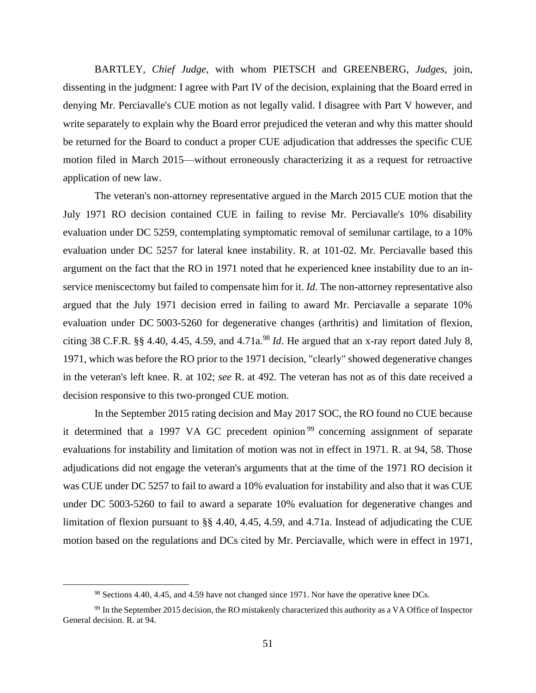BARTLEY, *Chief Judge*, with whom PIETSCH and GREENBERG, *Judges*, join, dissenting in the judgment: I agree with Part IV of the decision, explaining that the Board erred in denying Mr. Perciavalle's CUE motion as not legally valid. I disagree with Part V however, and write separately to explain why the Board error prejudiced the veteran and why this matter should be returned for the Board to conduct a proper CUE adjudication that addresses the specific CUE motion filed in March 2015—without erroneously characterizing it as a request for retroactive application of new law.

The veteran's non-attorney representative argued in the March 2015 CUE motion that the July 1971 RO decision contained CUE in failing to revise Mr. Perciavalle's 10% disability evaluation under DC 5259, contemplating symptomatic removal of semilunar cartilage, to a 10% evaluation under DC 5257 for lateral knee instability. R. at 101-02. Mr. Perciavalle based this argument on the fact that the RO in 1971 noted that he experienced knee instability due to an inservice meniscectomy but failed to compensate him for it. *Id*. The non-attorney representative also argued that the July 1971 decision erred in failing to award Mr. Perciavalle a separate 10% evaluation under DC 5003-5260 for degenerative changes (arthritis) and limitation of flexion, citing 38 C.F.R.  $\S$  4.40, 4.45, 4.59, and 4.71a.<sup>98</sup> *Id*. He argued that an x-ray report dated July 8, 1971, which was before the RO prior to the 1971 decision, "clearly" showed degenerative changes in the veteran's left knee. R. at 102; *see* R. at 492. The veteran has not as of this date received a decision responsive to this two-pronged CUE motion.

In the September 2015 rating decision and May 2017 SOC, the RO found no CUE because it determined that a 1997 VA GC precedent opinion<sup>99</sup> concerning assignment of separate evaluations for instability and limitation of motion was not in effect in 1971. R. at 94, 58. Those adjudications did not engage the veteran's arguments that at the time of the 1971 RO decision it was CUE under DC 5257 to fail to award a 10% evaluation for instability and also that it was CUE under DC 5003-5260 to fail to award a separate 10% evaluation for degenerative changes and limitation of flexion pursuant to §§ 4.40, 4.45, 4.59, and 4.71a. Instead of adjudicating the CUE motion based on the regulations and DCs cited by Mr. Perciavalle, which were in effect in 1971,

<sup>98</sup> Sections 4.40, 4.45, and 4.59 have not changed since 1971. Nor have the operative knee DCs.

<sup>99</sup> In the September 2015 decision, the RO mistakenly characterized this authority as a VA Office of Inspector General decision. R. at 94.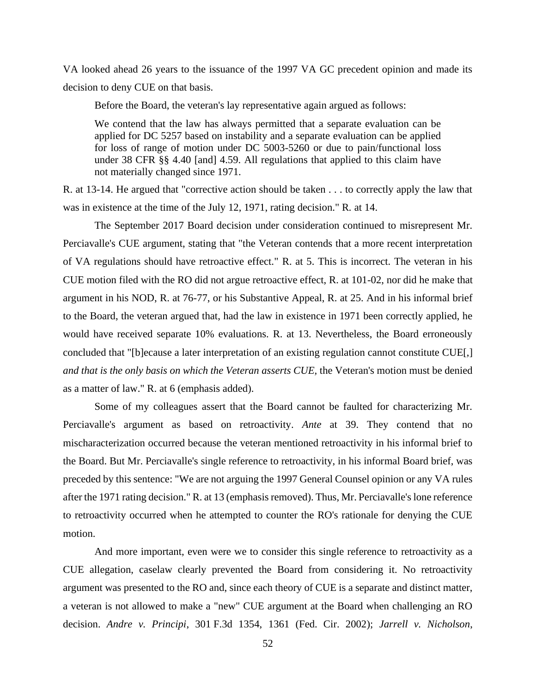VA looked ahead 26 years to the issuance of the 1997 VA GC precedent opinion and made its decision to deny CUE on that basis.

Before the Board, the veteran's lay representative again argued as follows:

We contend that the law has always permitted that a separate evaluation can be applied for DC 5257 based on instability and a separate evaluation can be applied for loss of range of motion under DC 5003-5260 or due to pain/functional loss under 38 CFR §§ 4.40 [and] 4.59. All regulations that applied to this claim have not materially changed since 1971.

R. at 13-14. He argued that "corrective action should be taken . . . to correctly apply the law that was in existence at the time of the July 12, 1971, rating decision." R*.* at 14.

The September 2017 Board decision under consideration continued to misrepresent Mr. Perciavalle's CUE argument, stating that "the Veteran contends that a more recent interpretation of VA regulations should have retroactive effect." R. at 5. This is incorrect. The veteran in his CUE motion filed with the RO did not argue retroactive effect, R. at 101-02, nor did he make that argument in his NOD, R. at 76-77, or his Substantive Appeal, R. at 25. And in his informal brief to the Board, the veteran argued that, had the law in existence in 1971 been correctly applied, he would have received separate 10% evaluations. R. at 13. Nevertheless, the Board erroneously concluded that "[b]ecause a later interpretation of an existing regulation cannot constitute CUE[,] *and that is the only basis on which the Veteran asserts CUE,* the Veteran's motion must be denied as a matter of law." R. at 6 (emphasis added).

Some of my colleagues assert that the Board cannot be faulted for characterizing Mr. Perciavalle's argument as based on retroactivity. *Ante* at 39. They contend that no mischaracterization occurred because the veteran mentioned retroactivity in his informal brief to the Board. But Mr. Perciavalle's single reference to retroactivity, in his informal Board brief, was preceded by this sentence: "We are not arguing the 1997 General Counsel opinion or any VA rules after the 1971 rating decision." R. at 13 (emphasis removed). Thus, Mr. Perciavalle's lone reference to retroactivity occurred when he attempted to counter the RO's rationale for denying the CUE motion.

And more important, even were we to consider this single reference to retroactivity as a CUE allegation, caselaw clearly prevented the Board from considering it. No retroactivity argument was presented to the RO and, since each theory of CUE is a separate and distinct matter, a veteran is not allowed to make a "new" CUE argument at the Board when challenging an RO decision. *Andre v. Principi*, 301 F.3d 1354, 1361 (Fed. Cir. 2002); *Jarrell v. Nicholson*,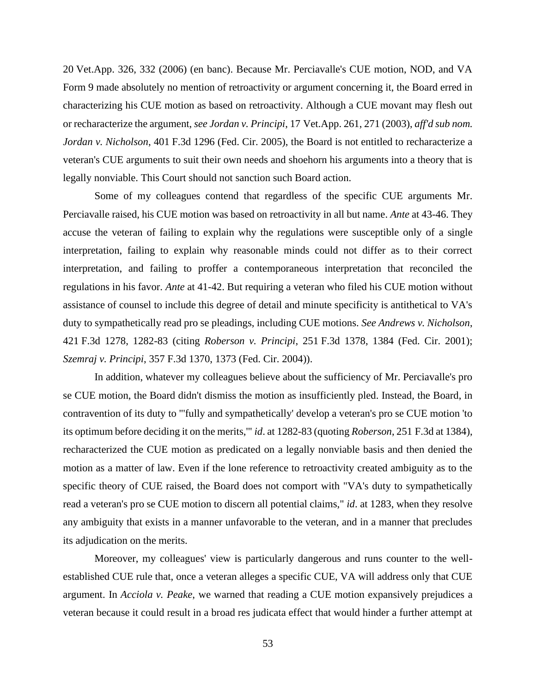20 Vet.App. 326, 332 (2006) (en banc). Because Mr. Perciavalle's CUE motion, NOD, and VA Form 9 made absolutely no mention of retroactivity or argument concerning it, the Board erred in characterizing his CUE motion as based on retroactivity. Although a CUE movant may flesh out or recharacterize the argument, *see Jordan v. Principi*, 17 Vet.App. 261, 271 (2003), *aff'd sub nom. Jordan v. Nicholson*, 401 F.3d 1296 (Fed. Cir. 2005), the Board is not entitled to recharacterize a veteran's CUE arguments to suit their own needs and shoehorn his arguments into a theory that is legally nonviable. This Court should not sanction such Board action.

Some of my colleagues contend that regardless of the specific CUE arguments Mr. Perciavalle raised, his CUE motion was based on retroactivity in all but name. *Ante* at 43-46. They accuse the veteran of failing to explain why the regulations were susceptible only of a single interpretation, failing to explain why reasonable minds could not differ as to their correct interpretation, and failing to proffer a contemporaneous interpretation that reconciled the regulations in his favor. *Ante* at 41-42. But requiring a veteran who filed his CUE motion without assistance of counsel to include this degree of detail and minute specificity is antithetical to VA's duty to sympathetically read pro se pleadings, including CUE motions. *See Andrews v. Nicholson*, 421 F.3d 1278, 1282-83 (citing *Roberson v. Principi*, 251 F.3d 1378, 1384 (Fed. Cir. 2001); *Szemraj v. Principi*, 357 F.3d 1370, 1373 (Fed. Cir. 2004)).

In addition, whatever my colleagues believe about the sufficiency of Mr. Perciavalle's pro se CUE motion, the Board didn't dismiss the motion as insufficiently pled. Instead, the Board, in contravention of its duty to "'fully and sympathetically' develop a veteran's pro se CUE motion 'to its optimum before deciding it on the merits,'" *id*. at 1282-83 (quoting *Roberson*, 251 F.3d at 1384), recharacterized the CUE motion as predicated on a legally nonviable basis and then denied the motion as a matter of law. Even if the lone reference to retroactivity created ambiguity as to the specific theory of CUE raised, the Board does not comport with "VA's duty to sympathetically read a veteran's pro se CUE motion to discern all potential claims," *id*. at 1283, when they resolve any ambiguity that exists in a manner unfavorable to the veteran, and in a manner that precludes its adjudication on the merits.

Moreover, my colleagues' view is particularly dangerous and runs counter to the wellestablished CUE rule that, once a veteran alleges a specific CUE, VA will address only that CUE argument. In *Acciola v. Peake*, we warned that reading a CUE motion expansively prejudices a veteran because it could result in a broad res judicata effect that would hinder a further attempt at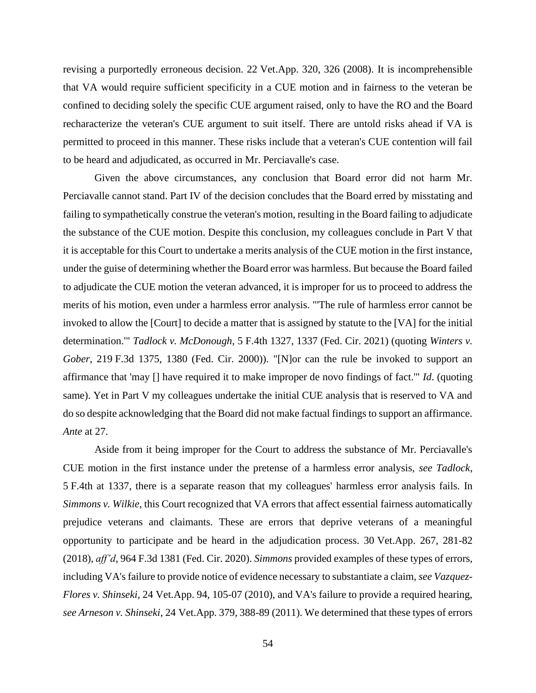revising a purportedly erroneous decision. 22 Vet.App. 320, 326 (2008). It is incomprehensible that VA would require sufficient specificity in a CUE motion and in fairness to the veteran be confined to deciding solely the specific CUE argument raised, only to have the RO and the Board recharacterize the veteran's CUE argument to suit itself. There are untold risks ahead if VA is permitted to proceed in this manner. These risks include that a veteran's CUE contention will fail to be heard and adjudicated, as occurred in Mr. Perciavalle's case.

Given the above circumstances, any conclusion that Board error did not harm Mr. Perciavalle cannot stand. Part IV of the decision concludes that the Board erred by misstating and failing to sympathetically construe the veteran's motion, resulting in the Board failing to adjudicate the substance of the CUE motion. Despite this conclusion, my colleagues conclude in Part V that it is acceptable for this Court to undertake a merits analysis of the CUE motion in the first instance, under the guise of determining whether the Board error was harmless. But because the Board failed to adjudicate the CUE motion the veteran advanced, it is improper for us to proceed to address the merits of his motion, even under a harmless error analysis. "'The rule of harmless error cannot be invoked to allow the [Court] to decide a matter that is assigned by statute to the [VA] for the initial determination.'" *Tadlock v. McDonough*, 5 F.4th 1327, 1337 (Fed. Cir. 2021) (quoting *Winters v. Gober*, 219 F.3d 1375, 1380 (Fed. Cir. 2000)). "[N]or can the rule be invoked to support an affirmance that 'may [] have required it to make improper de novo findings of fact.'" *Id*. (quoting same). Yet in Part V my colleagues undertake the initial CUE analysis that is reserved to VA and do so despite acknowledging that the Board did not make factual findings to support an affirmance. *Ante* at 27.

Aside from it being improper for the Court to address the substance of Mr. Perciavalle's CUE motion in the first instance under the pretense of a harmless error analysis, *see Tadlock*, 5 F.4th at 1337, there is a separate reason that my colleagues' harmless error analysis fails. In *Simmons v. Wilkie*, this Court recognized that VA errors that affect essential fairness automatically prejudice veterans and claimants. These are errors that deprive veterans of a meaningful opportunity to participate and be heard in the adjudication process. 30 Vet.App. 267, 281-82 (2018), *aff'd*, 964 F.3d 1381 (Fed. Cir. 2020). *Simmons* provided examples of these types of errors, including VA's failure to provide notice of evidence necessary to substantiate a claim, *see Vazquez-Flores v. Shinseki*, 24 Vet.App. 94, 105-07 (2010), and VA's failure to provide a required hearing, *see Arneson v. Shinseki*, 24 Vet.App. 379, 388-89 (2011). We determined that these types of errors